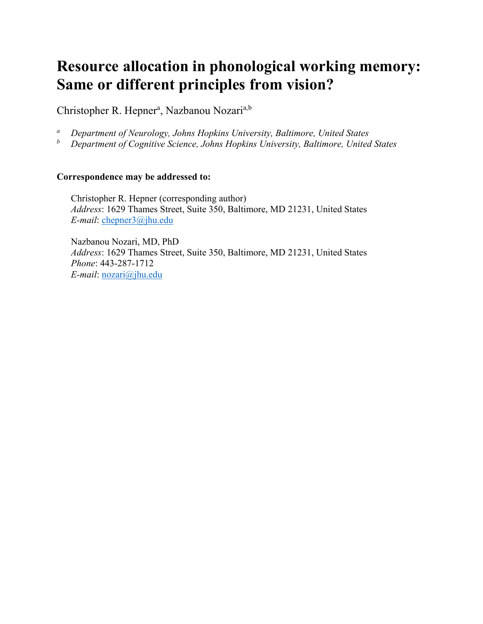# **Resource allocation in phonological working memory: Same or different principles from vision?**

Christopher R. Hepner<sup>a</sup>, Nazbanou Nozari<sup>a,b</sup>

- *<sup>a</sup> Department of Neurology, Johns Hopkins University, Baltimore, United States*
- *<sup>b</sup> Department of Cognitive Science, Johns Hopkins University, Baltimore, United States*

# **Correspondence may be addressed to:**

Christopher R. Hepner (corresponding author) *Address*: 1629 Thames Street, Suite 350, Baltimore, MD 21231, United States *E-mail*: [chepner3@jhu.edu](mailto:chepner3@jhu.edu)

Nazbanou Nozari, MD, PhD *Address*: 1629 Thames Street, Suite 350, Baltimore, MD 21231, United States *Phone*: 443-287-1712 *E-mail*: [nozari@jhu.edu](mailto:nozari@jhu.edu)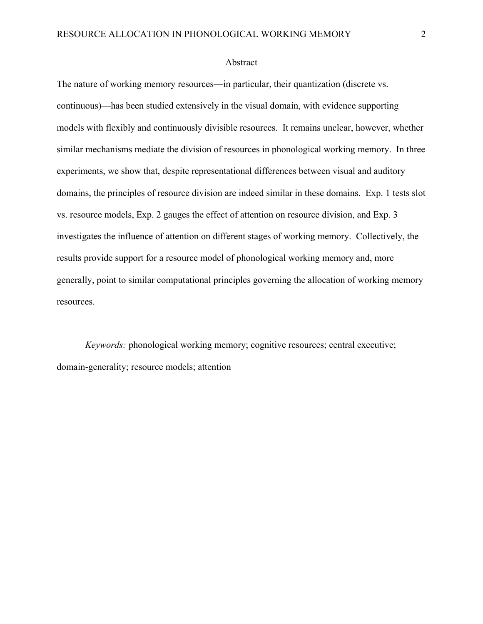## Abstract

The nature of working memory resources—in particular, their quantization (discrete vs. continuous)—has been studied extensively in the visual domain, with evidence supporting models with flexibly and continuously divisible resources. It remains unclear, however, whether similar mechanisms mediate the division of resources in phonological working memory. In three experiments, we show that, despite representational differences between visual and auditory domains, the principles of resource division are indeed similar in these domains. Exp. 1 tests slot vs. resource models, Exp. 2 gauges the effect of attention on resource division, and Exp. 3 investigates the influence of attention on different stages of working memory. Collectively, the results provide support for a resource model of phonological working memory and, more generally, point to similar computational principles governing the allocation of working memory resources.

*Keywords:* phonological working memory; cognitive resources; central executive; domain-generality; resource models; attention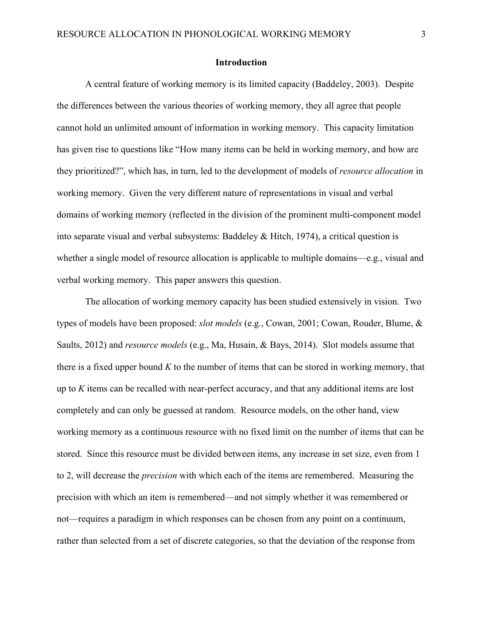#### **Introduction**

A central feature of working memory is its limited capacity (Baddeley, 2003). Despite the differences between the various theories of working memory, they all agree that people cannot hold an unlimited amount of information in working memory. This capacity limitation has given rise to questions like "How many items can be held in working memory, and how are they prioritized?", which has, in turn, led to the development of models of *resource allocation* in working memory. Given the very different nature of representations in visual and verbal domains of working memory (reflected in the division of the prominent multi-component model into separate visual and verbal subsystems: Baddeley & Hitch, 1974), a critical question is whether a single model of resource allocation is applicable to multiple domains—e.g., visual and verbal working memory. This paper answers this question.

The allocation of working memory capacity has been studied extensively in vision. Two types of models have been proposed: *slot models* (e.g., Cowan, 2001; Cowan, Rouder, Blume, & Saults, 2012) and *resource models* (e.g., Ma, Husain, & Bays, 2014). Slot models assume that there is a fixed upper bound *K* to the number of items that can be stored in working memory, that up to *K* items can be recalled with near-perfect accuracy, and that any additional items are lost completely and can only be guessed at random. Resource models, on the other hand, view working memory as a continuous resource with no fixed limit on the number of items that can be stored. Since this resource must be divided between items, any increase in set size, even from 1 to 2, will decrease the *precision* with which each of the items are remembered. Measuring the precision with which an item is remembered—and not simply whether it was remembered or not—requires a paradigm in which responses can be chosen from any point on a continuum, rather than selected from a set of discrete categories, so that the deviation of the response from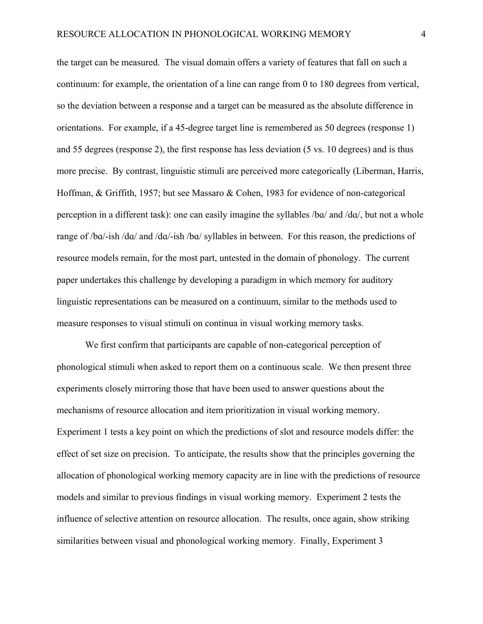the target can be measured. The visual domain offers a variety of features that fall on such a continuum: for example, the orientation of a line can range from 0 to 180 degrees from vertical, so the deviation between a response and a target can be measured as the absolute difference in orientations. For example, if a 45-degree target line is remembered as 50 degrees (response 1) and 55 degrees (response 2), the first response has less deviation (5 vs. 10 degrees) and is thus more precise. By contrast, linguistic stimuli are perceived more categorically (Liberman, Harris, Hoffman, & Griffith, 1957; but see Massaro & Cohen, 1983 for evidence of non-categorical perception in a different task): one can easily imagine the syllables /bɑ/ and /dɑ/, but not a whole range of /bɑ/-ish /dɑ/ and /dɑ/-ish /bɑ/ syllables in between. For this reason, the predictions of resource models remain, for the most part, untested in the domain of phonology. The current paper undertakes this challenge by developing a paradigm in which memory for auditory linguistic representations can be measured on a continuum, similar to the methods used to measure responses to visual stimuli on continua in visual working memory tasks.

We first confirm that participants are capable of non-categorical perception of phonological stimuli when asked to report them on a continuous scale. We then present three experiments closely mirroring those that have been used to answer questions about the mechanisms of resource allocation and item prioritization in visual working memory. Experiment 1 tests a key point on which the predictions of slot and resource models differ: the effect of set size on precision. To anticipate, the results show that the principles governing the allocation of phonological working memory capacity are in line with the predictions of resource models and similar to previous findings in visual working memory. Experiment 2 tests the influence of selective attention on resource allocation. The results, once again, show striking similarities between visual and phonological working memory. Finally, Experiment 3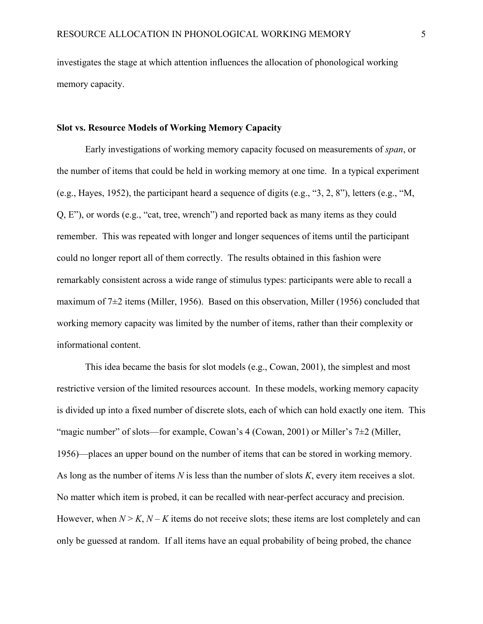investigates the stage at which attention influences the allocation of phonological working memory capacity.

# **Slot vs. Resource Models of Working Memory Capacity**

Early investigations of working memory capacity focused on measurements of *span*, or the number of items that could be held in working memory at one time. In a typical experiment (e.g., Hayes, 1952), the participant heard a sequence of digits (e.g., "3, 2, 8"), letters (e.g., "M, Q, E"), or words (e.g., "cat, tree, wrench") and reported back as many items as they could remember. This was repeated with longer and longer sequences of items until the participant could no longer report all of them correctly. The results obtained in this fashion were remarkably consistent across a wide range of stimulus types: participants were able to recall a maximum of  $7\pm2$  items (Miller, 1956). Based on this observation, Miller (1956) concluded that working memory capacity was limited by the number of items, rather than their complexity or informational content.

This idea became the basis for slot models (e.g., Cowan, 2001), the simplest and most restrictive version of the limited resources account. In these models, working memory capacity is divided up into a fixed number of discrete slots, each of which can hold exactly one item. This "magic number" of slots—for example, Cowan's 4 (Cowan, 2001) or Miller's 7±2 (Miller, 1956)—places an upper bound on the number of items that can be stored in working memory. As long as the number of items *N* is less than the number of slots *K*, every item receives a slot. No matter which item is probed, it can be recalled with near-perfect accuracy and precision. However, when  $N > K$ ,  $N - K$  items do not receive slots; these items are lost completely and can only be guessed at random. If all items have an equal probability of being probed, the chance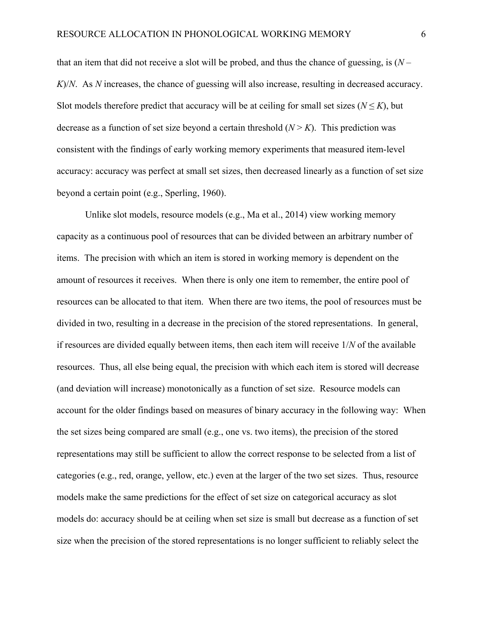that an item that did not receive a slot will be probed, and thus the chance of guessing, is (*N* – *K*)/*N*. As *N* increases, the chance of guessing will also increase, resulting in decreased accuracy. Slot models therefore predict that accuracy will be at ceiling for small set sizes  $(N \le K)$ , but decrease as a function of set size beyond a certain threshold  $(N > K)$ . This prediction was consistent with the findings of early working memory experiments that measured item-level accuracy: accuracy was perfect at small set sizes, then decreased linearly as a function of set size beyond a certain point (e.g., Sperling, 1960).

Unlike slot models, resource models (e.g., Ma et al., 2014) view working memory capacity as a continuous pool of resources that can be divided between an arbitrary number of items. The precision with which an item is stored in working memory is dependent on the amount of resources it receives. When there is only one item to remember, the entire pool of resources can be allocated to that item. When there are two items, the pool of resources must be divided in two, resulting in a decrease in the precision of the stored representations. In general, if resources are divided equally between items, then each item will receive 1/*N* of the available resources. Thus, all else being equal, the precision with which each item is stored will decrease (and deviation will increase) monotonically as a function of set size. Resource models can account for the older findings based on measures of binary accuracy in the following way: When the set sizes being compared are small (e.g., one vs. two items), the precision of the stored representations may still be sufficient to allow the correct response to be selected from a list of categories (e.g., red, orange, yellow, etc.) even at the larger of the two set sizes. Thus, resource models make the same predictions for the effect of set size on categorical accuracy as slot models do: accuracy should be at ceiling when set size is small but decrease as a function of set size when the precision of the stored representations is no longer sufficient to reliably select the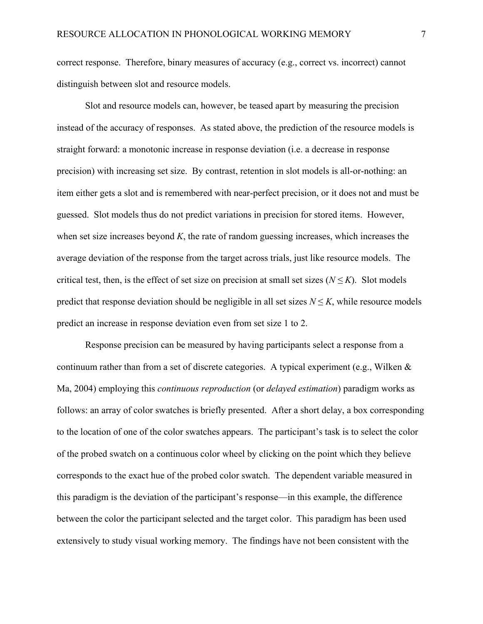correct response. Therefore, binary measures of accuracy (e.g., correct vs. incorrect) cannot distinguish between slot and resource models.

Slot and resource models can, however, be teased apart by measuring the precision instead of the accuracy of responses. As stated above, the prediction of the resource models is straight forward: a monotonic increase in response deviation (i.e. a decrease in response precision) with increasing set size. By contrast, retention in slot models is all-or-nothing: an item either gets a slot and is remembered with near-perfect precision, or it does not and must be guessed. Slot models thus do not predict variations in precision for stored items. However, when set size increases beyond *K*, the rate of random guessing increases, which increases the average deviation of the response from the target across trials, just like resource models. The critical test, then, is the effect of set size on precision at small set sizes ( $N \leq K$ ). Slot models predict that response deviation should be negligible in all set sizes  $N \leq K$ , while resource models predict an increase in response deviation even from set size 1 to 2.

Response precision can be measured by having participants select a response from a continuum rather than from a set of discrete categories. A typical experiment (e.g., Wilken & Ma, 2004) employing this *continuous reproduction* (or *delayed estimation*) paradigm works as follows: an array of color swatches is briefly presented. After a short delay, a box corresponding to the location of one of the color swatches appears. The participant's task is to select the color of the probed swatch on a continuous color wheel by clicking on the point which they believe corresponds to the exact hue of the probed color swatch. The dependent variable measured in this paradigm is the deviation of the participant's response—in this example, the difference between the color the participant selected and the target color. This paradigm has been used extensively to study visual working memory. The findings have not been consistent with the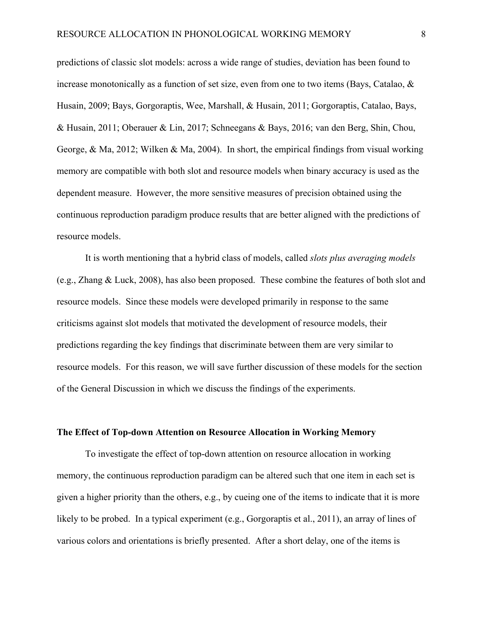predictions of classic slot models: across a wide range of studies, deviation has been found to increase monotonically as a function of set size, even from one to two items (Bays, Catalao, & Husain, 2009; Bays, Gorgoraptis, Wee, Marshall, & Husain, 2011; Gorgoraptis, Catalao, Bays, & Husain, 2011; Oberauer & Lin, 2017; Schneegans & Bays, 2016; van den Berg, Shin, Chou, George, & Ma, 2012; Wilken & Ma, 2004). In short, the empirical findings from visual working memory are compatible with both slot and resource models when binary accuracy is used as the dependent measure. However, the more sensitive measures of precision obtained using the continuous reproduction paradigm produce results that are better aligned with the predictions of resource models.

It is worth mentioning that a hybrid class of models, called *slots plus averaging models*  (e.g., Zhang & Luck, 2008), has also been proposed. These combine the features of both slot and resource models. Since these models were developed primarily in response to the same criticisms against slot models that motivated the development of resource models, their predictions regarding the key findings that discriminate between them are very similar to resource models. For this reason, we will save further discussion of these models for the section of the General Discussion in which we discuss the findings of the experiments.

#### **The Effect of Top-down Attention on Resource Allocation in Working Memory**

To investigate the effect of top-down attention on resource allocation in working memory, the continuous reproduction paradigm can be altered such that one item in each set is given a higher priority than the others, e.g., by cueing one of the items to indicate that it is more likely to be probed. In a typical experiment (e.g., Gorgoraptis et al., 2011), an array of lines of various colors and orientations is briefly presented. After a short delay, one of the items is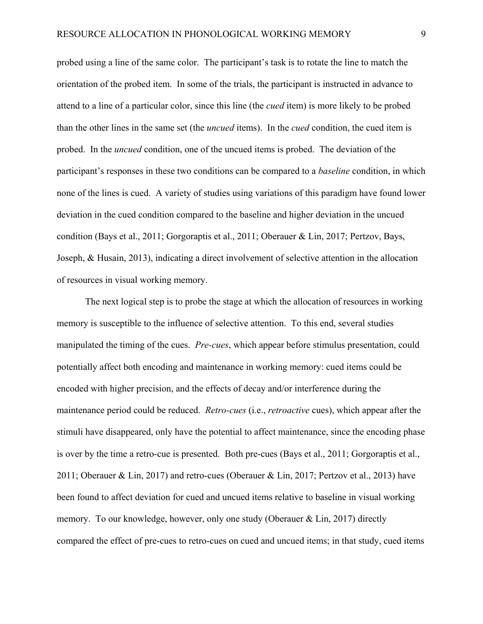probed using a line of the same color. The participant's task is to rotate the line to match the orientation of the probed item. In some of the trials, the participant is instructed in advance to attend to a line of a particular color, since this line (the *cued* item) is more likely to be probed than the other lines in the same set (the *uncued* items). In the *cued* condition, the cued item is probed. In the *uncued* condition, one of the uncued items is probed. The deviation of the participant's responses in these two conditions can be compared to a *baseline* condition, in which none of the lines is cued. A variety of studies using variations of this paradigm have found lower deviation in the cued condition compared to the baseline and higher deviation in the uncued condition (Bays et al., 2011; Gorgoraptis et al., 2011; Oberauer & Lin, 2017; Pertzov, Bays, Joseph, & Husain, 2013), indicating a direct involvement of selective attention in the allocation of resources in visual working memory.

The next logical step is to probe the stage at which the allocation of resources in working memory is susceptible to the influence of selective attention. To this end, several studies manipulated the timing of the cues. *Pre-cues*, which appear before stimulus presentation, could potentially affect both encoding and maintenance in working memory: cued items could be encoded with higher precision, and the effects of decay and/or interference during the maintenance period could be reduced. *Retro-cues* (i.e., *retroactive* cues), which appear after the stimuli have disappeared, only have the potential to affect maintenance, since the encoding phase is over by the time a retro-cue is presented. Both pre-cues (Bays et al., 2011; Gorgoraptis et al., 2011; Oberauer & Lin, 2017) and retro-cues (Oberauer & Lin, 2017; Pertzov et al., 2013) have been found to affect deviation for cued and uncued items relative to baseline in visual working memory. To our knowledge, however, only one study (Oberauer & Lin, 2017) directly compared the effect of pre-cues to retro-cues on cued and uncued items; in that study, cued items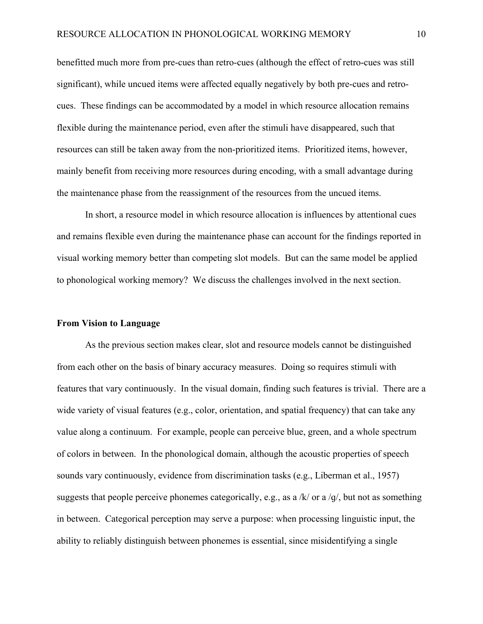benefitted much more from pre-cues than retro-cues (although the effect of retro-cues was still significant), while uncued items were affected equally negatively by both pre-cues and retrocues. These findings can be accommodated by a model in which resource allocation remains flexible during the maintenance period, even after the stimuli have disappeared, such that resources can still be taken away from the non-prioritized items. Prioritized items, however, mainly benefit from receiving more resources during encoding, with a small advantage during the maintenance phase from the reassignment of the resources from the uncued items.

In short, a resource model in which resource allocation is influences by attentional cues and remains flexible even during the maintenance phase can account for the findings reported in visual working memory better than competing slot models. But can the same model be applied to phonological working memory? We discuss the challenges involved in the next section.

## **From Vision to Language**

As the previous section makes clear, slot and resource models cannot be distinguished from each other on the basis of binary accuracy measures. Doing so requires stimuli with features that vary continuously. In the visual domain, finding such features is trivial. There are a wide variety of visual features (e.g., color, orientation, and spatial frequency) that can take any value along a continuum. For example, people can perceive blue, green, and a whole spectrum of colors in between. In the phonological domain, although the acoustic properties of speech sounds vary continuously, evidence from discrimination tasks (e.g., Liberman et al., 1957) suggests that people perceive phonemes categorically, e.g., as a /k/ or a /q/, but not as something in between. Categorical perception may serve a purpose: when processing linguistic input, the ability to reliably distinguish between phonemes is essential, since misidentifying a single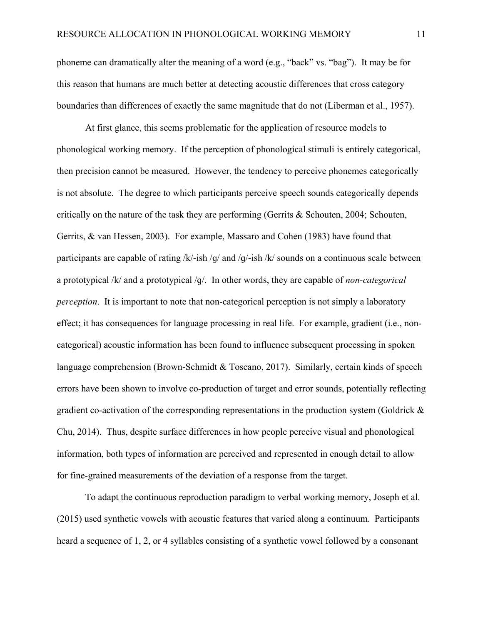phoneme can dramatically alter the meaning of a word (e.g., "back" vs. "bag"). It may be for this reason that humans are much better at detecting acoustic differences that cross category boundaries than differences of exactly the same magnitude that do not (Liberman et al., 1957).

At first glance, this seems problematic for the application of resource models to phonological working memory. If the perception of phonological stimuli is entirely categorical, then precision cannot be measured. However, the tendency to perceive phonemes categorically is not absolute. The degree to which participants perceive speech sounds categorically depends critically on the nature of the task they are performing (Gerrits & Schouten, 2004; Schouten, Gerrits, & van Hessen, 2003). For example, Massaro and Cohen (1983) have found that participants are capable of rating /k/-ish /g/ and /g/-ish /k/ sounds on a continuous scale between a prototypical /k/ and a prototypical /ɡ/. In other words, they are capable of *non-categorical perception*. It is important to note that non-categorical perception is not simply a laboratory effect; it has consequences for language processing in real life. For example, gradient (i.e., noncategorical) acoustic information has been found to influence subsequent processing in spoken language comprehension (Brown-Schmidt & Toscano, 2017). Similarly, certain kinds of speech errors have been shown to involve co-production of target and error sounds, potentially reflecting gradient co-activation of the corresponding representations in the production system (Goldrick & Chu, 2014). Thus, despite surface differences in how people perceive visual and phonological information, both types of information are perceived and represented in enough detail to allow for fine-grained measurements of the deviation of a response from the target.

To adapt the continuous reproduction paradigm to verbal working memory, Joseph et al. (2015) used synthetic vowels with acoustic features that varied along a continuum. Participants heard a sequence of 1, 2, or 4 syllables consisting of a synthetic vowel followed by a consonant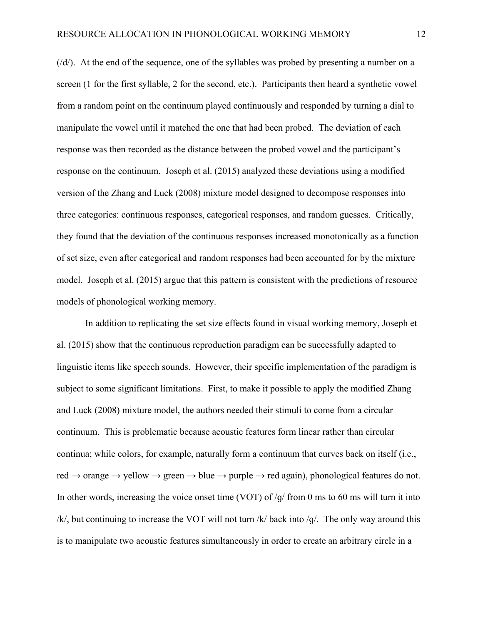$(\text{Ad})$ . At the end of the sequence, one of the syllables was probed by presenting a number on a screen (1 for the first syllable, 2 for the second, etc.). Participants then heard a synthetic vowel from a random point on the continuum played continuously and responded by turning a dial to manipulate the vowel until it matched the one that had been probed. The deviation of each response was then recorded as the distance between the probed vowel and the participant's response on the continuum. Joseph et al. (2015) analyzed these deviations using a modified version of the Zhang and Luck (2008) mixture model designed to decompose responses into three categories: continuous responses, categorical responses, and random guesses. Critically, they found that the deviation of the continuous responses increased monotonically as a function of set size, even after categorical and random responses had been accounted for by the mixture model. Joseph et al. (2015) argue that this pattern is consistent with the predictions of resource models of phonological working memory.

In addition to replicating the set size effects found in visual working memory, Joseph et al. (2015) show that the continuous reproduction paradigm can be successfully adapted to linguistic items like speech sounds. However, their specific implementation of the paradigm is subject to some significant limitations. First, to make it possible to apply the modified Zhang and Luck (2008) mixture model, the authors needed their stimuli to come from a circular continuum. This is problematic because acoustic features form linear rather than circular continua; while colors, for example, naturally form a continuum that curves back on itself (i.e., red  $\rightarrow$  orange  $\rightarrow$  yellow  $\rightarrow$  green  $\rightarrow$  blue  $\rightarrow$  purple  $\rightarrow$  red again), phonological features do not. In other words, increasing the voice onset time (VOT) of  $/q$  from 0 ms to 60 ms will turn it into  $/k$ , but continuing to increase the VOT will not turn  $/k$  back into  $/q$ . The only way around this is to manipulate two acoustic features simultaneously in order to create an arbitrary circle in a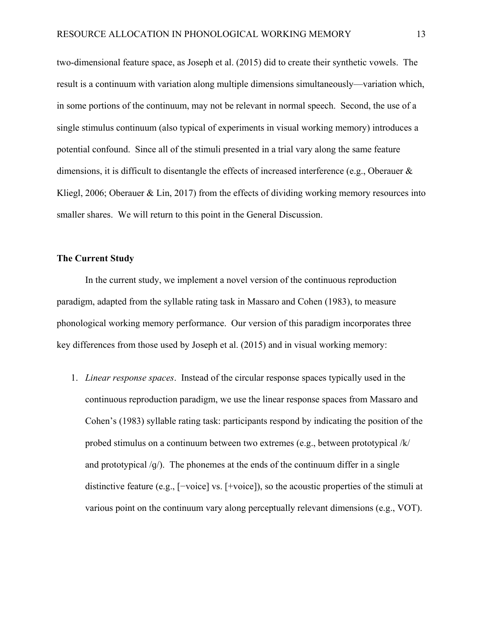two-dimensional feature space, as Joseph et al. (2015) did to create their synthetic vowels. The result is a continuum with variation along multiple dimensions simultaneously—variation which, in some portions of the continuum, may not be relevant in normal speech. Second, the use of a single stimulus continuum (also typical of experiments in visual working memory) introduces a potential confound. Since all of the stimuli presented in a trial vary along the same feature dimensions, it is difficult to disentangle the effects of increased interference (e.g., Oberauer & Kliegl, 2006; Oberauer & Lin, 2017) from the effects of dividing working memory resources into smaller shares. We will return to this point in the General Discussion.

# **The Current Study**

In the current study, we implement a novel version of the continuous reproduction paradigm, adapted from the syllable rating task in Massaro and Cohen (1983), to measure phonological working memory performance. Our version of this paradigm incorporates three key differences from those used by Joseph et al. (2015) and in visual working memory:

1. *Linear response spaces*. Instead of the circular response spaces typically used in the continuous reproduction paradigm, we use the linear response spaces from Massaro and Cohen's (1983) syllable rating task: participants respond by indicating the position of the probed stimulus on a continuum between two extremes (e.g., between prototypical /k/ and prototypical  $/q$ ). The phonemes at the ends of the continuum differ in a single distinctive feature (e.g., [−voice] vs. [+voice]), so the acoustic properties of the stimuli at various point on the continuum vary along perceptually relevant dimensions (e.g., VOT).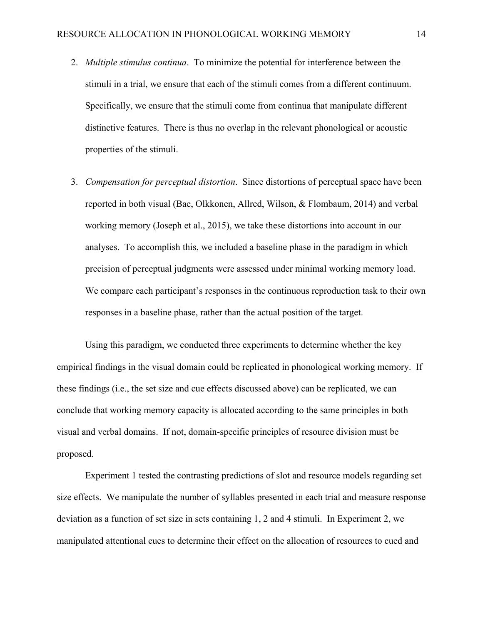- 2. *Multiple stimulus continua*. To minimize the potential for interference between the stimuli in a trial, we ensure that each of the stimuli comes from a different continuum. Specifically, we ensure that the stimuli come from continua that manipulate different distinctive features. There is thus no overlap in the relevant phonological or acoustic properties of the stimuli.
- 3. *Compensation for perceptual distortion*. Since distortions of perceptual space have been reported in both visual (Bae, Olkkonen, Allred, Wilson, & Flombaum, 2014) and verbal working memory (Joseph et al., 2015), we take these distortions into account in our analyses. To accomplish this, we included a baseline phase in the paradigm in which precision of perceptual judgments were assessed under minimal working memory load. We compare each participant's responses in the continuous reproduction task to their own responses in a baseline phase, rather than the actual position of the target.

Using this paradigm, we conducted three experiments to determine whether the key empirical findings in the visual domain could be replicated in phonological working memory. If these findings (i.e., the set size and cue effects discussed above) can be replicated, we can conclude that working memory capacity is allocated according to the same principles in both visual and verbal domains. If not, domain-specific principles of resource division must be proposed.

Experiment 1 tested the contrasting predictions of slot and resource models regarding set size effects. We manipulate the number of syllables presented in each trial and measure response deviation as a function of set size in sets containing 1, 2 and 4 stimuli. In Experiment 2, we manipulated attentional cues to determine their effect on the allocation of resources to cued and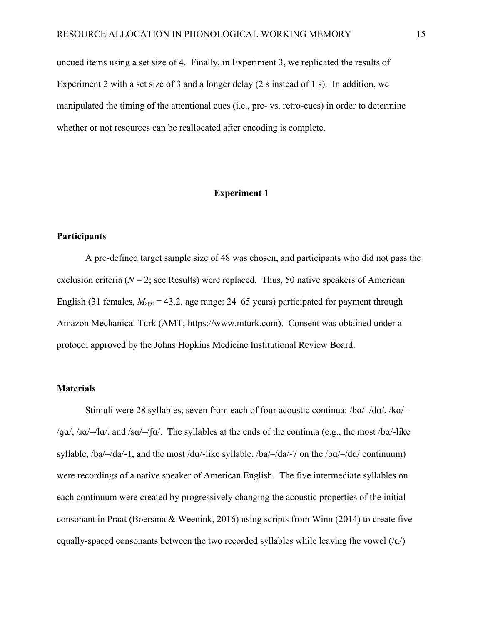uncued items using a set size of 4. Finally, in Experiment 3, we replicated the results of Experiment 2 with a set size of 3 and a longer delay (2 s instead of 1 s). In addition, we manipulated the timing of the attentional cues (i.e., pre- vs. retro-cues) in order to determine whether or not resources can be reallocated after encoding is complete.

# **Experiment 1**

# **Participants**

A pre-defined target sample size of 48 was chosen, and participants who did not pass the exclusion criteria ( $N = 2$ ; see Results) were replaced. Thus, 50 native speakers of American English (31 females, *M*age = 43.2, age range: 24–65 years) participated for payment through Amazon Mechanical Turk (AMT; https://www.mturk.com). Consent was obtained under a protocol approved by the Johns Hopkins Medicine Institutional Review Board.

# **Materials**

Stimuli were 28 syllables, seven from each of four acoustic continua:  $/ba/-/da/$ ,  $/ka/ \alpha$ /qa/, / $\alpha$ /–/ $\alpha$ /, and /s $\alpha$ /–/ $\alpha$ . The syllables at the ends of the continua (e.g., the most /b $\alpha$ /-like syllable,  $/ba$ –/da/-1, and the most /da/-like syllable,  $/ba$ –/da/-7 on the  $/ba$ –/da/ continuum) were recordings of a native speaker of American English. The five intermediate syllables on each continuum were created by progressively changing the acoustic properties of the initial consonant in Praat (Boersma & Weenink, 2016) using scripts from Winn (2014) to create five equally-spaced consonants between the two recorded syllables while leaving the vowel  $(\alpha)$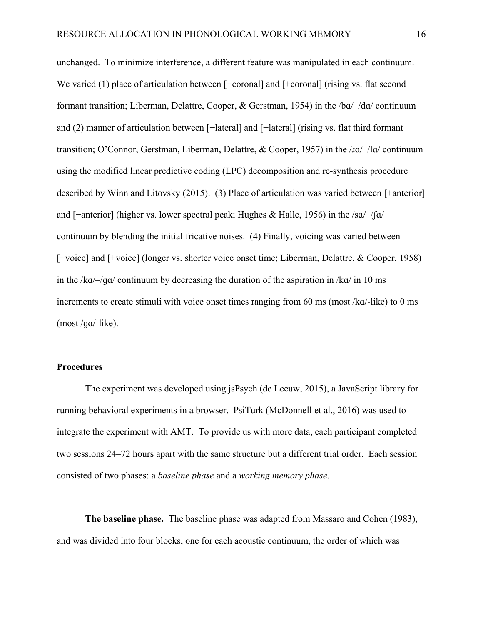unchanged. To minimize interference, a different feature was manipulated in each continuum. We varied (1) place of articulation between [−coronal] and [+coronal] (rising vs. flat second formant transition; Liberman, Delattre, Cooper, & Gerstman, 1954) in the /bɑ/–/dɑ/ continuum and (2) manner of articulation between [−lateral] and [+lateral] (rising vs. flat third formant transition; O'Connor, Gerstman, Liberman, Delattre, & Cooper, 1957) in the  $\lambda a/\lambda a$  continuum using the modified linear predictive coding (LPC) decomposition and re-synthesis procedure described by Winn and Litovsky (2015). (3) Place of articulation was varied between [+anterior] and [−anterior] (higher vs. lower spectral peak; Hughes & Halle, 1956) in the /sɑ/–/ʃɑ/ continuum by blending the initial fricative noises. (4) Finally, voicing was varied between [−voice] and [+voice] (longer vs. shorter voice onset time; Liberman, Delattre, & Cooper, 1958) in the /ka/ $-\frac{1}{q}a$  continuum by decreasing the duration of the aspiration in /ka/ in 10 ms increments to create stimuli with voice onset times ranging from 60 ms (most /kɑ/-like) to 0 ms  $(most/qa$ -like).

# **Procedures**

The experiment was developed using jsPsych (de Leeuw, 2015), a JavaScript library for running behavioral experiments in a browser. PsiTurk (McDonnell et al., 2016) was used to integrate the experiment with AMT. To provide us with more data, each participant completed two sessions 24–72 hours apart with the same structure but a different trial order. Each session consisted of two phases: a *baseline phase* and a *working memory phase*.

**The baseline phase.** The baseline phase was adapted from Massaro and Cohen (1983), and was divided into four blocks, one for each acoustic continuum, the order of which was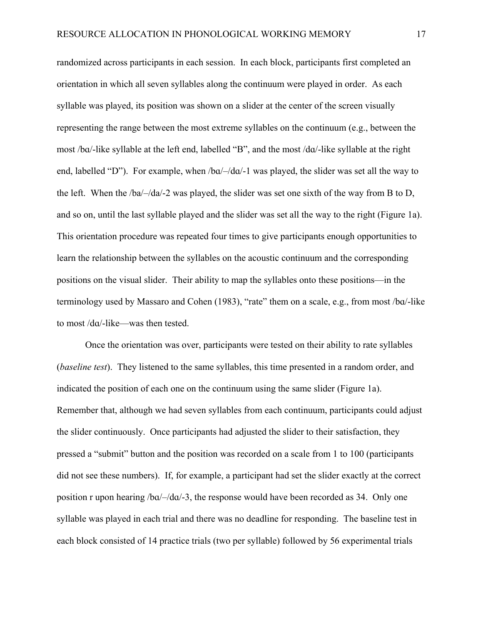randomized across participants in each session. In each block, participants first completed an orientation in which all seven syllables along the continuum were played in order. As each syllable was played, its position was shown on a slider at the center of the screen visually representing the range between the most extreme syllables on the continuum (e.g., between the most /bɑ/-like syllable at the left end, labelled "B", and the most /dɑ/-like syllable at the right end, labelled "D"). For example, when  $/ba$ - $/da$ -1 was played, the slider was set all the way to the left. When the /ba/–/da/-2 was played, the slider was set one sixth of the way from B to D, and so on, until the last syllable played and the slider was set all the way to the right (Figure 1a). This orientation procedure was repeated four times to give participants enough opportunities to learn the relationship between the syllables on the acoustic continuum and the corresponding positions on the visual slider. Their ability to map the syllables onto these positions—in the terminology used by Massaro and Cohen (1983), "rate" them on a scale, e.g., from most /bɑ/-like to most /dɑ/-like—was then tested.

Once the orientation was over, participants were tested on their ability to rate syllables (*baseline test*). They listened to the same syllables, this time presented in a random order, and indicated the position of each one on the continuum using the same slider (Figure 1a). Remember that, although we had seven syllables from each continuum, participants could adjust the slider continuously. Once participants had adjusted the slider to their satisfaction, they pressed a "submit" button and the position was recorded on a scale from 1 to 100 (participants did not see these numbers). If, for example, a participant had set the slider exactly at the correct position r upon hearing  $/ba$  –/da – 3, the response would have been recorded as 34. Only one syllable was played in each trial and there was no deadline for responding. The baseline test in each block consisted of 14 practice trials (two per syllable) followed by 56 experimental trials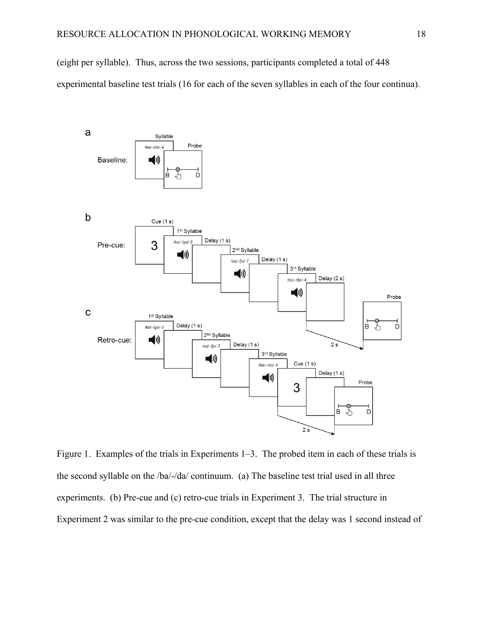(eight per syllable). Thus, across the two sessions, participants completed a total of 448 experimental baseline test trials (16 for each of the seven syllables in each of the four continua).



Figure 1. Examples of the trials in Experiments 1–3. The probed item in each of these trials is the second syllable on the /ba/-/da/ continuum. (a) The baseline test trial used in all three experiments. (b) Pre-cue and (c) retro-cue trials in Experiment 3. The trial structure in Experiment 2 was similar to the pre-cue condition, except that the delay was 1 second instead of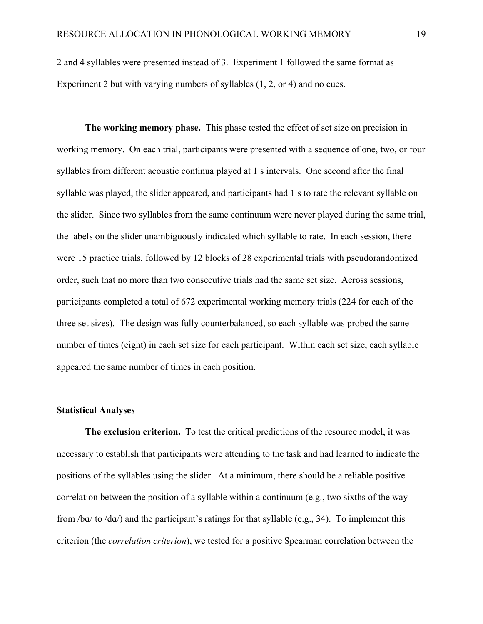2 and 4 syllables were presented instead of 3. Experiment 1 followed the same format as Experiment 2 but with varying numbers of syllables (1, 2, or 4) and no cues.

**The working memory phase.** This phase tested the effect of set size on precision in working memory. On each trial, participants were presented with a sequence of one, two, or four syllables from different acoustic continua played at 1 s intervals. One second after the final syllable was played, the slider appeared, and participants had 1 s to rate the relevant syllable on the slider. Since two syllables from the same continuum were never played during the same trial, the labels on the slider unambiguously indicated which syllable to rate. In each session, there were 15 practice trials, followed by 12 blocks of 28 experimental trials with pseudorandomized order, such that no more than two consecutive trials had the same set size. Across sessions, participants completed a total of 672 experimental working memory trials (224 for each of the three set sizes). The design was fully counterbalanced, so each syllable was probed the same number of times (eight) in each set size for each participant. Within each set size, each syllable appeared the same number of times in each position.

## **Statistical Analyses**

**The exclusion criterion.** To test the critical predictions of the resource model, it was necessary to establish that participants were attending to the task and had learned to indicate the positions of the syllables using the slider. At a minimum, there should be a reliable positive correlation between the position of a syllable within a continuum (e.g., two sixths of the way from  $/ba/$  to  $/da/$ ) and the participant's ratings for that syllable (e.g., 34). To implement this criterion (the *correlation criterion*), we tested for a positive Spearman correlation between the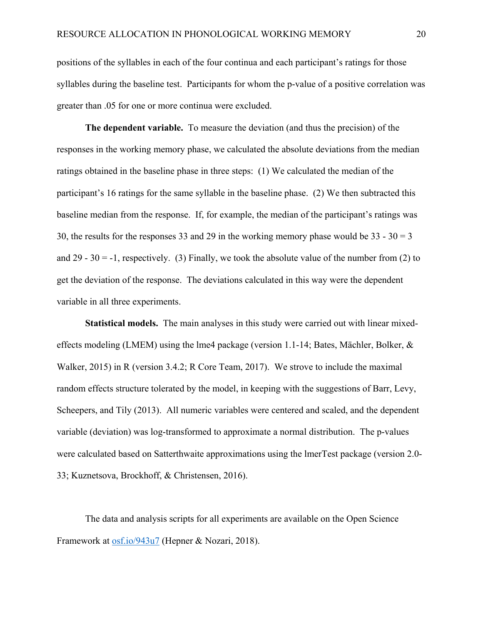positions of the syllables in each of the four continua and each participant's ratings for those syllables during the baseline test. Participants for whom the p-value of a positive correlation was greater than .05 for one or more continua were excluded.

**The dependent variable.** To measure the deviation (and thus the precision) of the responses in the working memory phase, we calculated the absolute deviations from the median ratings obtained in the baseline phase in three steps: (1) We calculated the median of the participant's 16 ratings for the same syllable in the baseline phase. (2) We then subtracted this baseline median from the response. If, for example, the median of the participant's ratings was 30, the results for the responses 33 and 29 in the working memory phase would be  $33 - 30 = 3$ and  $29 - 30 = -1$ , respectively. (3) Finally, we took the absolute value of the number from (2) to get the deviation of the response. The deviations calculated in this way were the dependent variable in all three experiments.

**Statistical models.** The main analyses in this study were carried out with linear mixedeffects modeling (LMEM) using the lme4 package (version 1.1-14; Bates, Mächler, Bolker, & Walker, 2015) in R (version 3.4.2; R Core Team, 2017). We strove to include the maximal random effects structure tolerated by the model, in keeping with the suggestions of Barr, Levy, Scheepers, and Tily (2013). All numeric variables were centered and scaled, and the dependent variable (deviation) was log-transformed to approximate a normal distribution. The p-values were calculated based on Satterthwaite approximations using the lmerTest package (version 2.0- 33; Kuznetsova, Brockhoff, & Christensen, 2016).

The data and analysis scripts for all experiments are available on the Open Science Framework at [osf.io/943u7](https://osf.io/943u7/) (Hepner & Nozari, 2018).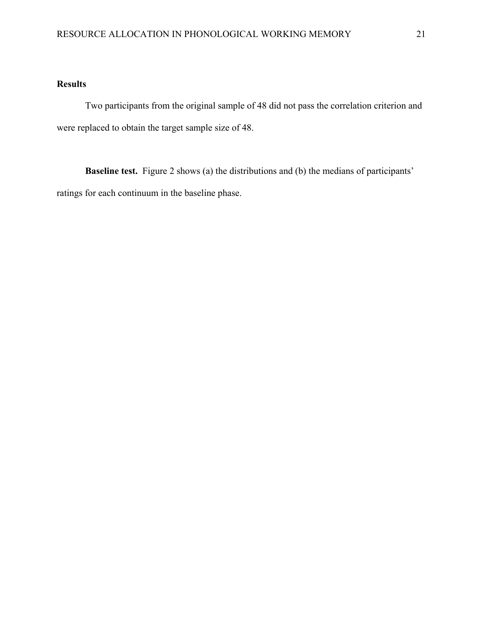# **Results**

Two participants from the original sample of 48 did not pass the correlation criterion and were replaced to obtain the target sample size of 48.

**Baseline test.** Figure 2 shows (a) the distributions and (b) the medians of participants' ratings for each continuum in the baseline phase.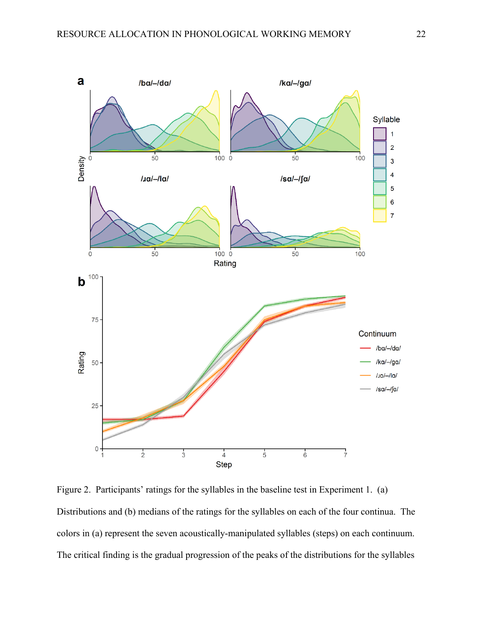

Figure 2. Participants' ratings for the syllables in the baseline test in Experiment 1. (a) Distributions and (b) medians of the ratings for the syllables on each of the four continua. The colors in (a) represent the seven acoustically-manipulated syllables (steps) on each continuum. The critical finding is the gradual progression of the peaks of the distributions for the syllables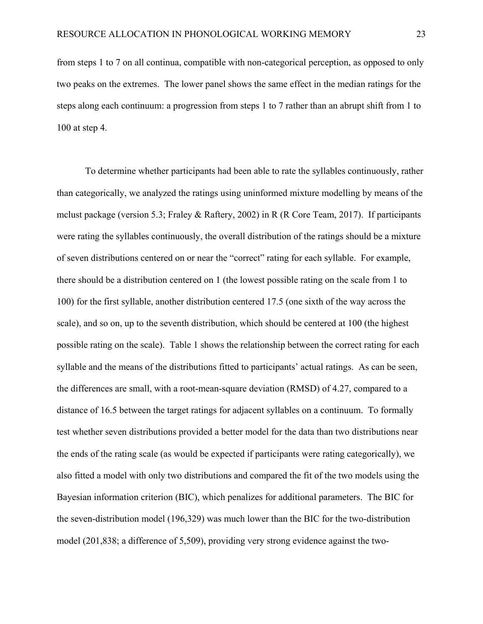from steps 1 to 7 on all continua, compatible with non-categorical perception, as opposed to only two peaks on the extremes. The lower panel shows the same effect in the median ratings for the steps along each continuum: a progression from steps 1 to 7 rather than an abrupt shift from 1 to 100 at step 4.

To determine whether participants had been able to rate the syllables continuously, rather than categorically, we analyzed the ratings using uninformed mixture modelling by means of the mclust package (version 5.3; Fraley & Raftery, 2002) in R (R Core Team, 2017). If participants were rating the syllables continuously, the overall distribution of the ratings should be a mixture of seven distributions centered on or near the "correct" rating for each syllable. For example, there should be a distribution centered on 1 (the lowest possible rating on the scale from 1 to 100) for the first syllable, another distribution centered 17.5 (one sixth of the way across the scale), and so on, up to the seventh distribution, which should be centered at 100 (the highest possible rating on the scale). Table 1 shows the relationship between the correct rating for each syllable and the means of the distributions fitted to participants' actual ratings. As can be seen, the differences are small, with a root-mean-square deviation (RMSD) of 4.27, compared to a distance of 16.5 between the target ratings for adjacent syllables on a continuum. To formally test whether seven distributions provided a better model for the data than two distributions near the ends of the rating scale (as would be expected if participants were rating categorically), we also fitted a model with only two distributions and compared the fit of the two models using the Bayesian information criterion (BIC), which penalizes for additional parameters. The BIC for the seven-distribution model (196,329) was much lower than the BIC for the two-distribution model (201,838; a difference of 5,509), providing very strong evidence against the two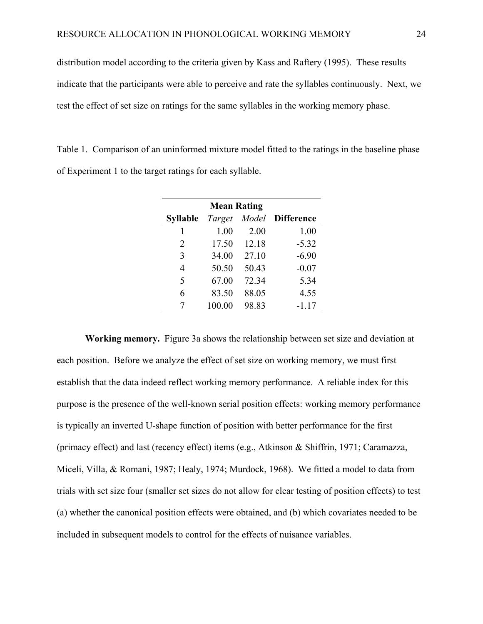distribution model according to the criteria given by Kass and Raftery (1995). These results indicate that the participants were able to perceive and rate the syllables continuously. Next, we test the effect of set size on ratings for the same syllables in the working memory phase.

Table 1. Comparison of an uninformed mixture model fitted to the ratings in the baseline phase of Experiment 1 to the target ratings for each syllable.

| <b>Mean Rating</b> |        |       |                   |  |  |
|--------------------|--------|-------|-------------------|--|--|
| <b>Syllable</b>    | Target | Model | <b>Difference</b> |  |  |
| 1                  | 1.00   | 2.00  | 1.00              |  |  |
| 2                  | 17.50  | 12.18 | $-5.32$           |  |  |
| 3                  | 34.00  | 27.10 | $-6.90$           |  |  |
| 4                  | 50.50  | 50.43 | $-0.07$           |  |  |
| 5                  | 67.00  | 72.34 | 5.34              |  |  |
| 6                  | 83.50  | 88.05 | 4.55              |  |  |
| 7                  | 100.00 | 98.83 | $-1.17$           |  |  |

**Working memory.** Figure 3a shows the relationship between set size and deviation at each position. Before we analyze the effect of set size on working memory, we must first establish that the data indeed reflect working memory performance. A reliable index for this purpose is the presence of the well-known serial position effects: working memory performance is typically an inverted U-shape function of position with better performance for the first (primacy effect) and last (recency effect) items (e.g., Atkinson & Shiffrin, 1971; Caramazza, Miceli, Villa, & Romani, 1987; Healy, 1974; Murdock, 1968). We fitted a model to data from trials with set size four (smaller set sizes do not allow for clear testing of position effects) to test (a) whether the canonical position effects were obtained, and (b) which covariates needed to be included in subsequent models to control for the effects of nuisance variables.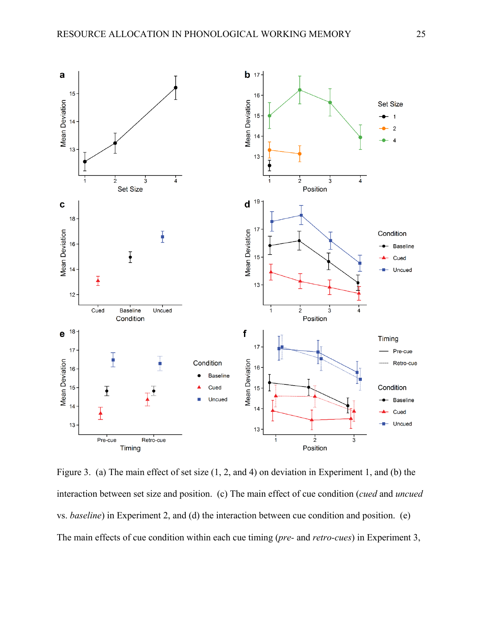

Figure 3. (a) The main effect of set size (1, 2, and 4) on deviation in Experiment 1, and (b) the interaction between set size and position. (c) The main effect of cue condition (*cued* and *uncued* vs. *baseline*) in Experiment 2, and (d) the interaction between cue condition and position. (e) The main effects of cue condition within each cue timing (*pre-* and *retro-cues*) in Experiment 3,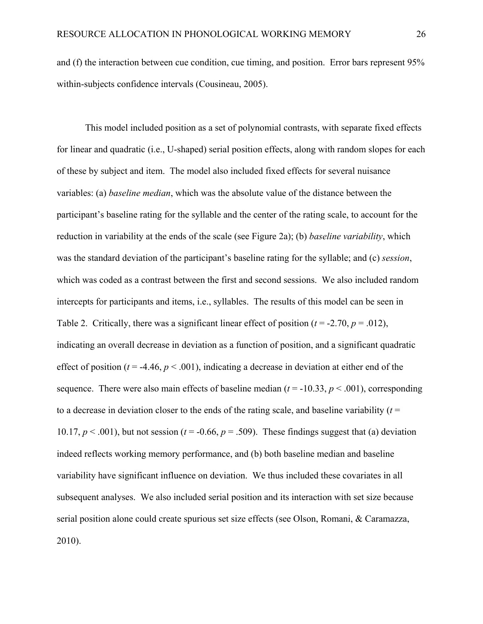and (f) the interaction between cue condition, cue timing, and position. Error bars represent 95% within-subjects confidence intervals (Cousineau, 2005).

This model included position as a set of polynomial contrasts, with separate fixed effects for linear and quadratic (i.e., U-shaped) serial position effects, along with random slopes for each of these by subject and item. The model also included fixed effects for several nuisance variables: (a) *baseline median*, which was the absolute value of the distance between the participant's baseline rating for the syllable and the center of the rating scale, to account for the reduction in variability at the ends of the scale (see Figure 2a); (b) *baseline variability*, which was the standard deviation of the participant's baseline rating for the syllable; and (c) *session*, which was coded as a contrast between the first and second sessions. We also included random intercepts for participants and items, i.e., syllables. The results of this model can be seen in Table 2. Critically, there was a significant linear effect of position  $(t = -2.70, p = .012)$ , indicating an overall decrease in deviation as a function of position, and a significant quadratic effect of position ( $t = -4.46$ ,  $p < .001$ ), indicating a decrease in deviation at either end of the sequence. There were also main effects of baseline median  $(t = -10.33, p \le 0.001)$ , corresponding to a decrease in deviation closer to the ends of the rating scale, and baseline variability  $(t =$ 10.17,  $p < .001$ ), but not session ( $t = -0.66$ ,  $p = .509$ ). These findings suggest that (a) deviation indeed reflects working memory performance, and (b) both baseline median and baseline variability have significant influence on deviation. We thus included these covariates in all subsequent analyses. We also included serial position and its interaction with set size because serial position alone could create spurious set size effects (see Olson, Romani, & Caramazza, 2010).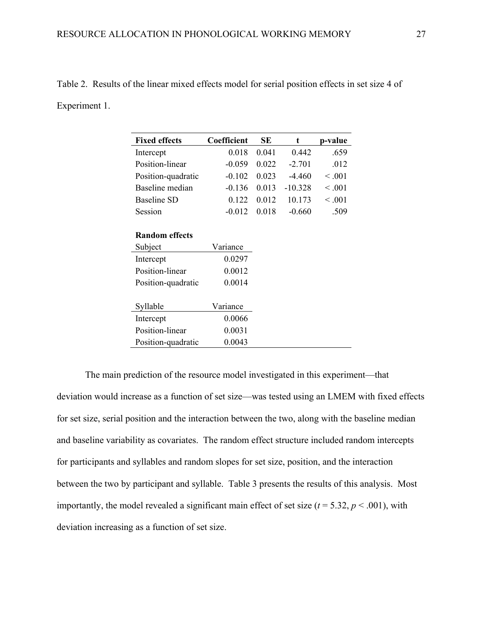Table 2. Results of the linear mixed effects model for serial position effects in set size 4 of Experiment 1.

| <b>Fixed effects</b>  | Coefficient | SЕ    | t         | p-value |
|-----------------------|-------------|-------|-----------|---------|
| Intercept             | 0.018       | 0.041 | 0.442     | .659    |
| Position-linear       | $-0.059$    | 0.022 | $-2.701$  | .012    |
| Position-quadratic    | $-0.102$    | 0.023 | $-4.460$  | < 0.001 |
| Baseline median       | $-0.136$    | 0.013 | $-10.328$ | < 0.001 |
| Baseline SD           | 0.122       | 0.012 | 10.173    | < 0.001 |
| Session               | $-0.012$    | 0.018 | $-0.660$  | .509    |
|                       |             |       |           |         |
| <b>Random effects</b> |             |       |           |         |
| Subject               | Variance    |       |           |         |
| Intercept             | 0.0297      |       |           |         |
| Position-linear       | 0.0012      |       |           |         |
| Position-quadratic    | 0.0014      |       |           |         |
|                       |             |       |           |         |
| Syllable              | Variance    |       |           |         |
| Intercept             | 0.0066      |       |           |         |
| Position-linear       | 0.0031      |       |           |         |
| Position-quadratic    | 0.0043      |       |           |         |

The main prediction of the resource model investigated in this experiment—that deviation would increase as a function of set size—was tested using an LMEM with fixed effects for set size, serial position and the interaction between the two, along with the baseline median and baseline variability as covariates. The random effect structure included random intercepts for participants and syllables and random slopes for set size, position, and the interaction between the two by participant and syllable. Table 3 presents the results of this analysis. Most importantly, the model revealed a significant main effect of set size  $(t = 5.32, p < .001)$ , with deviation increasing as a function of set size.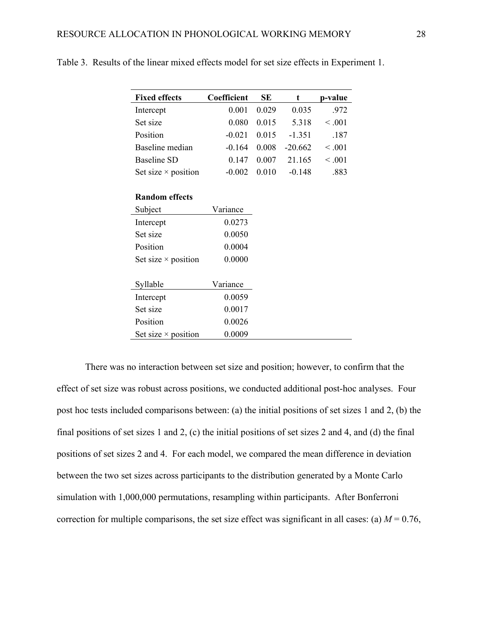| <b>Fixed effects</b>       | Coefficient | <b>SE</b> | t         | p-value |
|----------------------------|-------------|-----------|-----------|---------|
| Intercept                  | 0.001       | 0.029     | 0.035     | .972    |
| Set size                   | 0.080       | 0.015     | 5.318     | < 0.001 |
| Position                   | $-0.021$    | 0.015     | $-1.351$  | .187    |
| Baseline median            | $-0.164$    | 0.008     | $-20.662$ | < 0.001 |
| <b>Baseline SD</b>         | 0.147       | 0.007     | 21.165    | < 0.001 |
| Set size $\times$ position | $-0.002$    | 0.010     | $-0.148$  | .883    |
|                            |             |           |           |         |
| <b>Random effects</b>      |             |           |           |         |
| Subject                    | Variance    |           |           |         |
| Intercept                  | 0.0273      |           |           |         |
| Set size                   | 0.0050      |           |           |         |
| Position                   | 0.0004      |           |           |         |
| Set size $\times$ position | 0.0000      |           |           |         |
|                            |             |           |           |         |
| Syllable                   | Variance    |           |           |         |
| Intercept                  | 0.0059      |           |           |         |
| Set size                   | 0.0017      |           |           |         |
| Position                   | 0.0026      |           |           |         |
| Set size $\times$ position | 0.0009      |           |           |         |

Table 3. Results of the linear mixed effects model for set size effects in Experiment 1.

There was no interaction between set size and position; however, to confirm that the effect of set size was robust across positions, we conducted additional post-hoc analyses. Four post hoc tests included comparisons between: (a) the initial positions of set sizes 1 and 2, (b) the final positions of set sizes 1 and 2, (c) the initial positions of set sizes 2 and 4, and (d) the final positions of set sizes 2 and 4. For each model, we compared the mean difference in deviation between the two set sizes across participants to the distribution generated by a Monte Carlo simulation with 1,000,000 permutations, resampling within participants. After Bonferroni correction for multiple comparisons, the set size effect was significant in all cases: (a)  $M = 0.76$ ,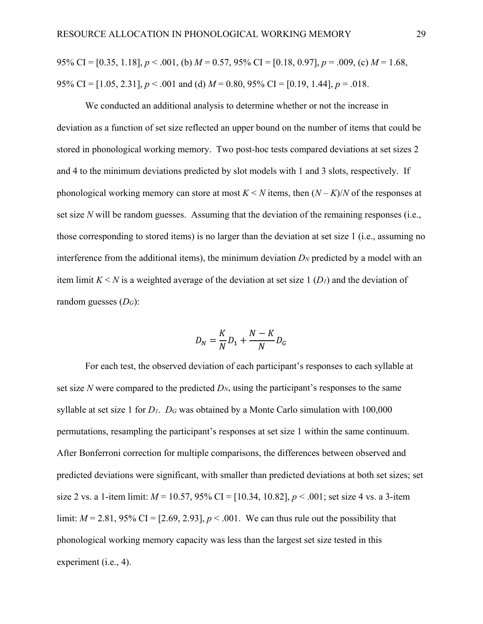95% CI = [0.35, 1.18], 
$$
p < .001
$$
, (b)  $M = 0.57$ , 95% CI = [0.18, 0.97],  $p = .009$ , (c)  $M = 1.68$ ,  
95% CI = [1.05, 2.31],  $p < .001$  and (d)  $M = 0.80$ , 95% CI = [0.19, 1.44],  $p = .018$ .

We conducted an additional analysis to determine whether or not the increase in deviation as a function of set size reflected an upper bound on the number of items that could be stored in phonological working memory. Two post-hoc tests compared deviations at set sizes 2 and 4 to the minimum deviations predicted by slot models with 1 and 3 slots, respectively. If phonological working memory can store at most  $K < N$  items, then  $(N - K)/N$  of the responses at set size *N* will be random guesses. Assuming that the deviation of the remaining responses (i.e., those corresponding to stored items) is no larger than the deviation at set size 1 (i.e., assuming no interference from the additional items), the minimum deviation  $D_N$  predicted by a model with an item limit  $K \le N$  is a weighted average of the deviation at set size 1  $(D<sub>l</sub>)$  and the deviation of random guesses (*DG*):

$$
D_N = \frac{K}{N}D_1 + \frac{N-K}{N}D_G
$$

For each test, the observed deviation of each participant's responses to each syllable at set size *N* were compared to the predicted  $D_N$ , using the participant's responses to the same syllable at set size 1 for *D1*. *DG* was obtained by a Monte Carlo simulation with 100,000 permutations, resampling the participant's responses at set size 1 within the same continuum. After Bonferroni correction for multiple comparisons, the differences between observed and predicted deviations were significant, with smaller than predicted deviations at both set sizes; set size 2 vs. a 1-item limit:  $M = 10.57$ , 95% CI = [10.34, 10.82],  $p < .001$ ; set size 4 vs. a 3-item limit:  $M = 2.81, 95\% \text{ CI} = [2.69, 2.93], p < .001$ . We can thus rule out the possibility that phonological working memory capacity was less than the largest set size tested in this experiment (i.e., 4).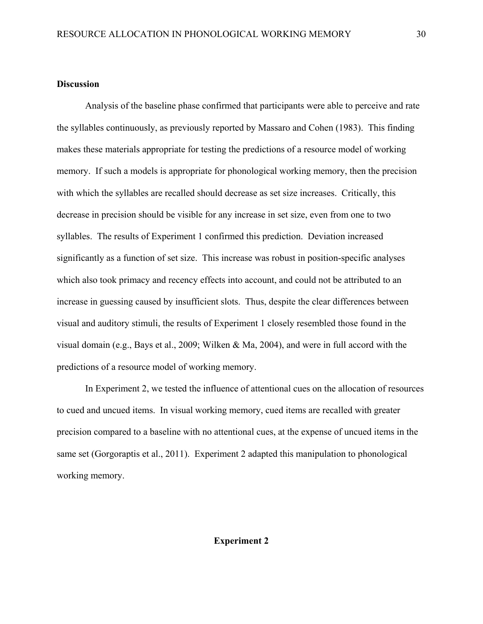# **Discussion**

Analysis of the baseline phase confirmed that participants were able to perceive and rate the syllables continuously, as previously reported by Massaro and Cohen (1983). This finding makes these materials appropriate for testing the predictions of a resource model of working memory. If such a models is appropriate for phonological working memory, then the precision with which the syllables are recalled should decrease as set size increases. Critically, this decrease in precision should be visible for any increase in set size, even from one to two syllables. The results of Experiment 1 confirmed this prediction. Deviation increased significantly as a function of set size. This increase was robust in position-specific analyses which also took primacy and recency effects into account, and could not be attributed to an increase in guessing caused by insufficient slots. Thus, despite the clear differences between visual and auditory stimuli, the results of Experiment 1 closely resembled those found in the visual domain (e.g., Bays et al., 2009; Wilken & Ma, 2004), and were in full accord with the predictions of a resource model of working memory.

In Experiment 2, we tested the influence of attentional cues on the allocation of resources to cued and uncued items. In visual working memory, cued items are recalled with greater precision compared to a baseline with no attentional cues, at the expense of uncued items in the same set (Gorgoraptis et al., 2011). Experiment 2 adapted this manipulation to phonological working memory.

#### **Experiment 2**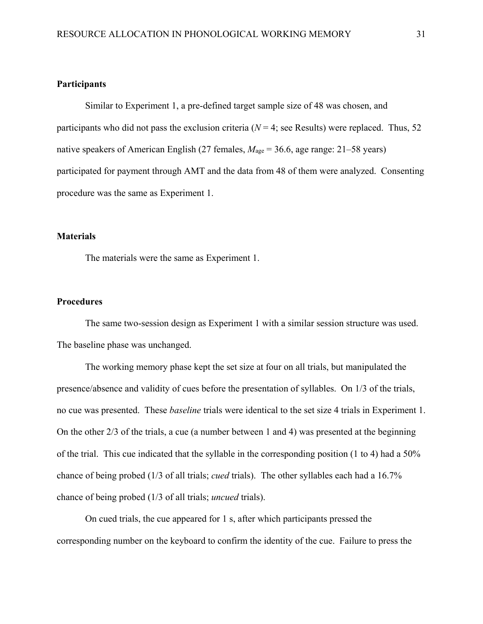# **Participants**

Similar to Experiment 1, a pre-defined target sample size of 48 was chosen, and participants who did not pass the exclusion criteria  $(N=4)$ ; see Results) were replaced. Thus, 52 native speakers of American English (27 females,  $M_{\text{age}} = 36.6$ , age range: 21–58 years) participated for payment through AMT and the data from 48 of them were analyzed. Consenting procedure was the same as Experiment 1.

# **Materials**

The materials were the same as Experiment 1.

# **Procedures**

The same two-session design as Experiment 1 with a similar session structure was used. The baseline phase was unchanged.

The working memory phase kept the set size at four on all trials, but manipulated the presence/absence and validity of cues before the presentation of syllables. On 1/3 of the trials, no cue was presented. These *baseline* trials were identical to the set size 4 trials in Experiment 1. On the other 2/3 of the trials, a cue (a number between 1 and 4) was presented at the beginning of the trial. This cue indicated that the syllable in the corresponding position (1 to 4) had a 50% chance of being probed (1/3 of all trials; *cued* trials). The other syllables each had a 16.7% chance of being probed (1/3 of all trials; *uncued* trials).

On cued trials, the cue appeared for 1 s, after which participants pressed the corresponding number on the keyboard to confirm the identity of the cue. Failure to press the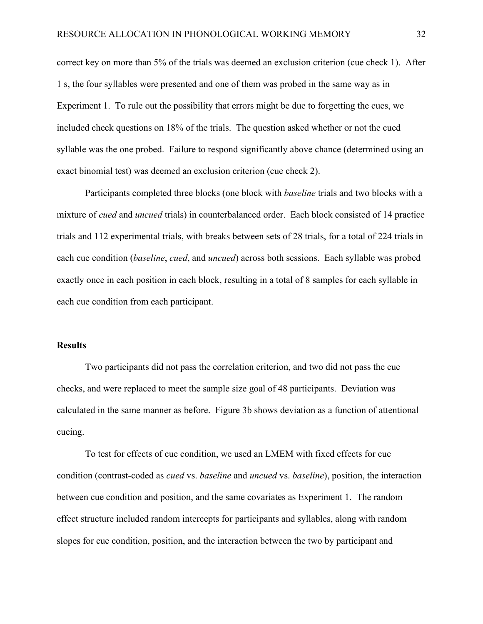correct key on more than 5% of the trials was deemed an exclusion criterion (cue check 1). After 1 s, the four syllables were presented and one of them was probed in the same way as in Experiment 1. To rule out the possibility that errors might be due to forgetting the cues, we included check questions on 18% of the trials. The question asked whether or not the cued syllable was the one probed. Failure to respond significantly above chance (determined using an exact binomial test) was deemed an exclusion criterion (cue check 2).

Participants completed three blocks (one block with *baseline* trials and two blocks with a mixture of *cued* and *uncued* trials) in counterbalanced order. Each block consisted of 14 practice trials and 112 experimental trials, with breaks between sets of 28 trials, for a total of 224 trials in each cue condition (*baseline*, *cued*, and *uncued*) across both sessions. Each syllable was probed exactly once in each position in each block, resulting in a total of 8 samples for each syllable in each cue condition from each participant.

# **Results**

Two participants did not pass the correlation criterion, and two did not pass the cue checks, and were replaced to meet the sample size goal of 48 participants. Deviation was calculated in the same manner as before. Figure 3b shows deviation as a function of attentional cueing.

To test for effects of cue condition, we used an LMEM with fixed effects for cue condition (contrast-coded as *cued* vs. *baseline* and *uncued* vs. *baseline*), position, the interaction between cue condition and position, and the same covariates as Experiment 1. The random effect structure included random intercepts for participants and syllables, along with random slopes for cue condition, position, and the interaction between the two by participant and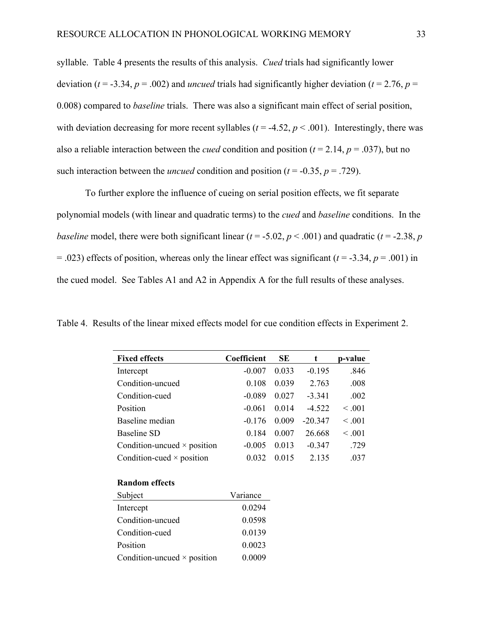syllable. Table 4 presents the results of this analysis. *Cued* trials had significantly lower deviation ( $t = -3.34$ ,  $p = .002$ ) and *uncued* trials had significantly higher deviation ( $t = 2.76$ ,  $p =$ 0.008) compared to *baseline* trials. There was also a significant main effect of serial position, with deviation decreasing for more recent syllables ( $t = -4.52$ ,  $p < .001$ ). Interestingly, there was also a reliable interaction between the *cued* condition and position ( $t = 2.14$ ,  $p = .037$ ), but no such interaction between the *uncued* condition and position ( $t = -0.35$ ,  $p = .729$ ).

To further explore the influence of cueing on serial position effects, we fit separate polynomial models (with linear and quadratic terms) to the *cued* and *baseline* conditions. In the *baseline* model, there were both significant linear ( $t = -5.02$ ,  $p < .001$ ) and quadratic ( $t = -2.38$ ,  $p$ )  $=$  .023) effects of position, whereas only the linear effect was significant ( $t = -3.34$ ,  $p = .001$ ) in the cued model. See Tables A1 and A2 in Appendix A for the full results of these analyses.

Table 4. Results of the linear mixed effects model for cue condition effects in Experiment 2.

| <b>Fixed effects</b>               | Coefficient | <b>SE</b> | t         | p-value |
|------------------------------------|-------------|-----------|-----------|---------|
| Intercept                          | $-0.007$    | 0.033     | $-0.195$  | .846    |
| Condition-uncued                   | 0.108       | 0.039     | 2.763     | .008    |
| Condition-cued                     | $-0.089$    | 0.027     | $-3.341$  | .002    |
| Position                           | $-0.061$    | 0.014     | $-4.522$  | < 0.01  |
| Baseline median                    | $-0.176$    | 0.009     | $-20.347$ | < 0.001 |
| Baseline SD                        | 0.184       | 0.007     | 26.668    | < 0.01  |
| Condition-uncued $\times$ position | $-0.005$    | 0.013     | $-0.347$  | .729    |
| Condition-cued $\times$ position   | 0.032       | 0.015     | 2.135     | .037    |
|                                    |             |           |           |         |

| <b>Random effects</b> |  |
|-----------------------|--|
|-----------------------|--|

| Subject                            | Variance |
|------------------------------------|----------|
| Intercept                          | 0.0294   |
| Condition-uncued                   | 0.0598   |
| Condition-cued                     | 0.0139   |
| Position                           | 0.0023   |
| Condition-uncued $\times$ position | 0.0009   |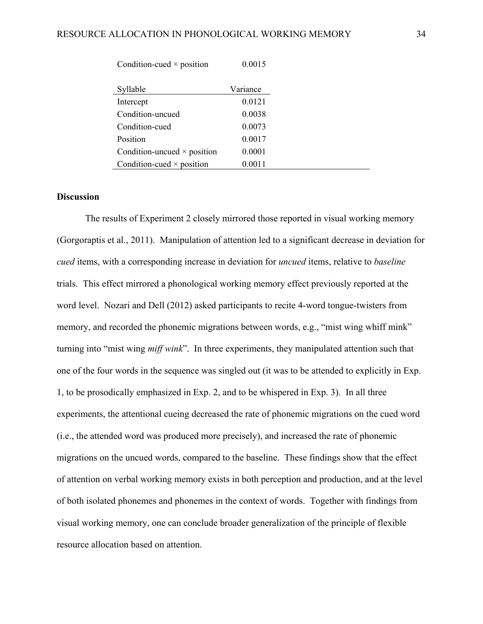| Condition-cued $\times$ position   | 0.0015   |
|------------------------------------|----------|
|                                    |          |
| Syllable                           | Variance |
| Intercept                          | 0.0121   |
| Condition-uncued                   | 0.0038   |
| Condition-cued                     | 0.0073   |
| Position                           | 0.0017   |
| Condition-uncued $\times$ position | 0.0001   |
| Condition-cued $\times$ position   | 0.0011   |

# **Discussion**

The results of Experiment 2 closely mirrored those reported in visual working memory (Gorgoraptis et al., 2011). Manipulation of attention led to a significant decrease in deviation for *cued* items, with a corresponding increase in deviation for *uncued* items, relative to *baseline* trials. This effect mirrored a phonological working memory effect previously reported at the word level. Nozari and Dell (2012) asked participants to recite 4-word tongue-twisters from memory, and recorded the phonemic migrations between words, e.g., "mist wing whiff mink" turning into "mist wing *miff wink*". In three experiments, they manipulated attention such that one of the four words in the sequence was singled out (it was to be attended to explicitly in Exp. 1, to be prosodically emphasized in Exp. 2, and to be whispered in Exp. 3). In all three experiments, the attentional cueing decreased the rate of phonemic migrations on the cued word (i.e., the attended word was produced more precisely), and increased the rate of phonemic migrations on the uncued words, compared to the baseline. These findings show that the effect of attention on verbal working memory exists in both perception and production, and at the level of both isolated phonemes and phonemes in the context of words. Together with findings from visual working memory, one can conclude broader generalization of the principle of flexible resource allocation based on attention.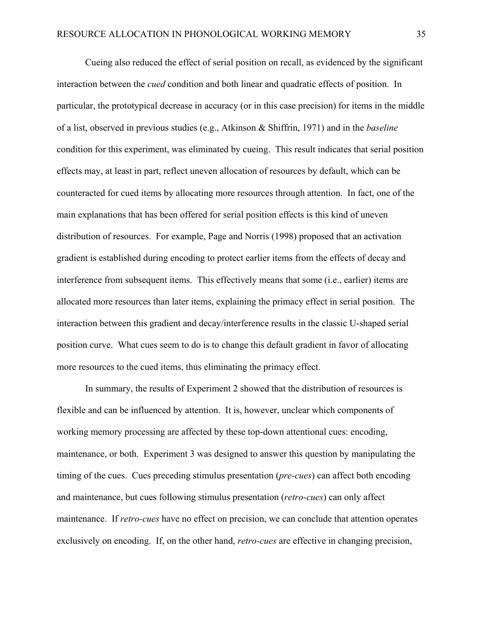Cueing also reduced the effect of serial position on recall, as evidenced by the significant interaction between the *cued* condition and both linear and quadratic effects of position. In particular, the prototypical decrease in accuracy (or in this case precision) for items in the middle of a list, observed in previous studies (e.g., Atkinson & Shiffrin, 1971) and in the *baseline* condition for this experiment, was eliminated by cueing. This result indicates that serial position effects may, at least in part, reflect uneven allocation of resources by default, which can be counteracted for cued items by allocating more resources through attention. In fact, one of the main explanations that has been offered for serial position effects is this kind of uneven distribution of resources. For example, Page and Norris (1998) proposed that an activation gradient is established during encoding to protect earlier items from the effects of decay and interference from subsequent items. This effectively means that some (i.e., earlier) items are allocated more resources than later items, explaining the primacy effect in serial position. The interaction between this gradient and decay/interference results in the classic U-shaped serial position curve. What cues seem to do is to change this default gradient in favor of allocating more resources to the cued items, thus eliminating the primacy effect.

In summary, the results of Experiment 2 showed that the distribution of resources is flexible and can be influenced by attention. It is, however, unclear which components of working memory processing are affected by these top-down attentional cues: encoding, maintenance, or both. Experiment 3 was designed to answer this question by manipulating the timing of the cues. Cues preceding stimulus presentation (*pre-cues*) can affect both encoding and maintenance, but cues following stimulus presentation (*retro-cues*) can only affect maintenance. If *retro-cues* have no effect on precision, we can conclude that attention operates exclusively on encoding. If, on the other hand, *retro-cues* are effective in changing precision,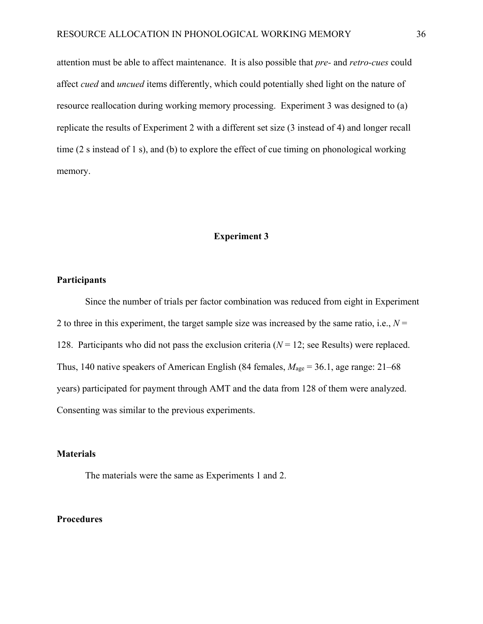attention must be able to affect maintenance. It is also possible that *pre-* and *retro-cues* could affect *cued* and *uncued* items differently, which could potentially shed light on the nature of resource reallocation during working memory processing. Experiment 3 was designed to (a) replicate the results of Experiment 2 with a different set size (3 instead of 4) and longer recall time (2 s instead of 1 s), and (b) to explore the effect of cue timing on phonological working memory.

# **Experiment 3**

# **Participants**

Since the number of trials per factor combination was reduced from eight in Experiment 2 to three in this experiment, the target sample size was increased by the same ratio, i.e.,  $N =$ 128. Participants who did not pass the exclusion criteria (*N* = 12; see Results) were replaced. Thus, 140 native speakers of American English (84 females, *M*age = 36.1, age range: 21–68 years) participated for payment through AMT and the data from 128 of them were analyzed. Consenting was similar to the previous experiments.

# **Materials**

The materials were the same as Experiments 1 and 2.

# **Procedures**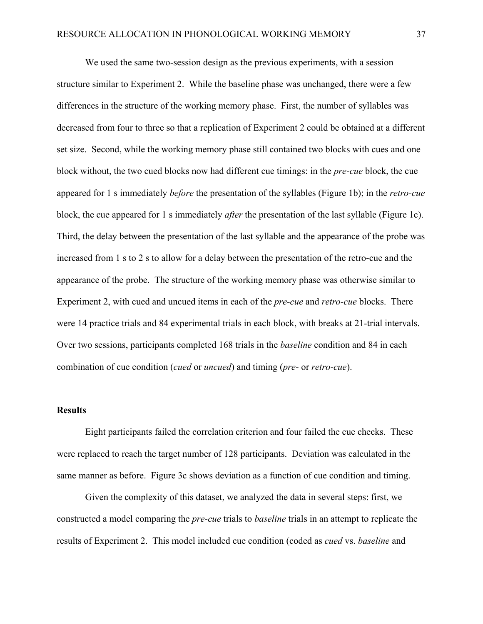We used the same two-session design as the previous experiments, with a session structure similar to Experiment 2. While the baseline phase was unchanged, there were a few differences in the structure of the working memory phase. First, the number of syllables was decreased from four to three so that a replication of Experiment 2 could be obtained at a different set size. Second, while the working memory phase still contained two blocks with cues and one block without, the two cued blocks now had different cue timings: in the *pre-cue* block, the cue appeared for 1 s immediately *before* the presentation of the syllables (Figure 1b); in the *retro-cue* block, the cue appeared for 1 s immediately *after* the presentation of the last syllable (Figure 1c). Third, the delay between the presentation of the last syllable and the appearance of the probe was increased from 1 s to 2 s to allow for a delay between the presentation of the retro-cue and the appearance of the probe. The structure of the working memory phase was otherwise similar to Experiment 2, with cued and uncued items in each of the *pre-cue* and *retro-cue* blocks. There were 14 practice trials and 84 experimental trials in each block, with breaks at 21-trial intervals. Over two sessions, participants completed 168 trials in the *baseline* condition and 84 in each combination of cue condition (*cued* or *uncued*) and timing (*pre-* or *retro-cue*).

# **Results**

Eight participants failed the correlation criterion and four failed the cue checks. These were replaced to reach the target number of 128 participants. Deviation was calculated in the same manner as before. Figure 3c shows deviation as a function of cue condition and timing.

Given the complexity of this dataset, we analyzed the data in several steps: first, we constructed a model comparing the *pre-cue* trials to *baseline* trials in an attempt to replicate the results of Experiment 2. This model included cue condition (coded as *cued* vs. *baseline* and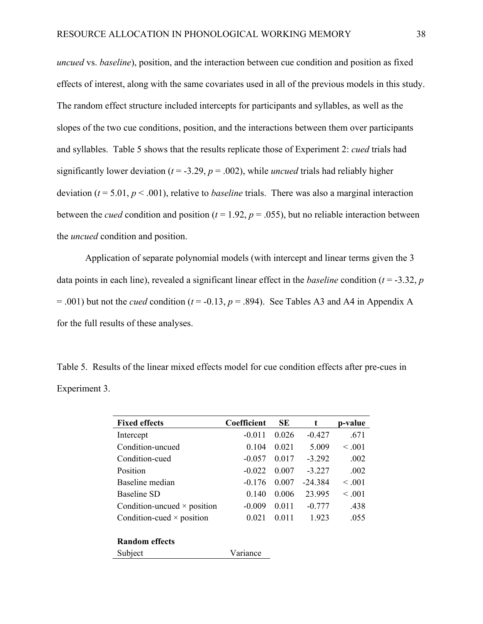*uncued* vs. *baseline*), position, and the interaction between cue condition and position as fixed effects of interest, along with the same covariates used in all of the previous models in this study. The random effect structure included intercepts for participants and syllables, as well as the slopes of the two cue conditions, position, and the interactions between them over participants and syllables. Table 5 shows that the results replicate those of Experiment 2: *cued* trials had significantly lower deviation ( $t = -3.29$ ,  $p = .002$ ), while *uncued* trials had reliably higher deviation (*t* = 5.01, *p* < .001), relative to *baseline* trials. There was also a marginal interaction between the *cued* condition and position ( $t = 1.92$ ,  $p = .055$ ), but no reliable interaction between the *uncued* condition and position.

Application of separate polynomial models (with intercept and linear terms given the 3 data points in each line), revealed a significant linear effect in the *baseline* condition (*t* = -3.32, *p*  $= .001$ ) but not the *cued* condition ( $t = -0.13$ ,  $p = .894$ ). See Tables A3 and A4 in Appendix A for the full results of these analyses.

Table 5. Results of the linear mixed effects model for cue condition effects after pre-cues in Experiment 3.

| <b>Fixed effects</b>               | <b>Coefficient</b> | SE    | t         | p-value |
|------------------------------------|--------------------|-------|-----------|---------|
| Intercept                          | $-0.011$           | 0.026 | $-0.427$  | .671    |
| Condition-uncued                   | 0.104              | 0.021 | 5.009     | < 0.01  |
| Condition-cued                     | $-0.057$           | 0.017 | $-3.292$  | .002    |
| Position                           | $-0.022$           | 0.007 | $-3.227$  | .002    |
| Baseline median                    | $-0.176$           | 0.007 | $-24.384$ | < 0.01  |
| Baseline SD                        | 0.140              | 0.006 | 23.995    | < 0.001 |
| Condition-uncued $\times$ position | $-0.009$           | 0.011 | $-0.777$  | .438    |
| Condition-cued $\times$ position   | 0.021              | 0.011 | 1.923     | .055    |
| <b>Random effects</b>              |                    |       |           |         |
| Subject                            | Variance           |       |           |         |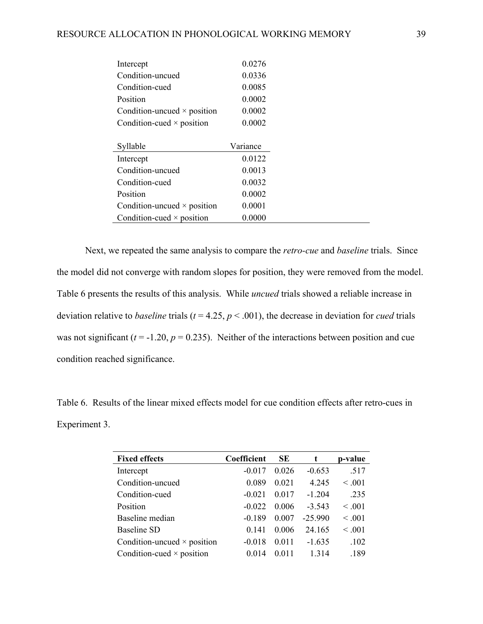| Intercept                          | 0.0276   |
|------------------------------------|----------|
| Condition-uncued                   | 0.0336   |
| Condition-cued                     | 0.0085   |
| Position                           | 0.0002   |
| Condition-uncued $\times$ position | 0.0002   |
| Condition-cued $\times$ position   | 0.0002   |
|                                    |          |
|                                    |          |
| Syllable                           | Variance |
| Intercept                          | 0.0122   |
| Condition-uncued                   | 0.0013   |
| Condition-cued                     | 0.0032   |
| Position                           | 0.0002   |
| Condition-uncued $\times$ position | 0.0001   |

Next, we repeated the same analysis to compare the *retro-cue* and *baseline* trials. Since the model did not converge with random slopes for position, they were removed from the model. Table 6 presents the results of this analysis. While *uncued* trials showed a reliable increase in deviation relative to *baseline* trials (*t* = 4.25, *p* < .001), the decrease in deviation for *cued* trials was not significant  $(t = -1.20, p = 0.235)$ . Neither of the interactions between position and cue condition reached significance.

Table 6. Results of the linear mixed effects model for cue condition effects after retro-cues in Experiment 3.

| <b>Fixed effects</b>               | Coefficient | SE.   | t         | p-value |
|------------------------------------|-------------|-------|-----------|---------|
| Intercept                          | $-0.017$    | 0.026 | $-0.653$  | .517    |
| Condition-uncued                   | 0.089       | 0.021 | 4.245     | < 0.01  |
| Condition-cued                     | $-0.021$    | 0.017 | $-1.204$  | .235    |
| Position                           | $-0.022$    | 0.006 | $-3.543$  | < 0.001 |
| Baseline median                    | $-0.189$    | 0.007 | $-25.990$ | < .001  |
| <b>Baseline SD</b>                 | 0.141       | 0.006 | 24.165    | < 0.001 |
| Condition-uncued $\times$ position | $-0.018$    | 0.011 | $-1.635$  | .102    |
| Condition-cued $\times$ position   | 0.014       | 0.011 | 1.314     | .189    |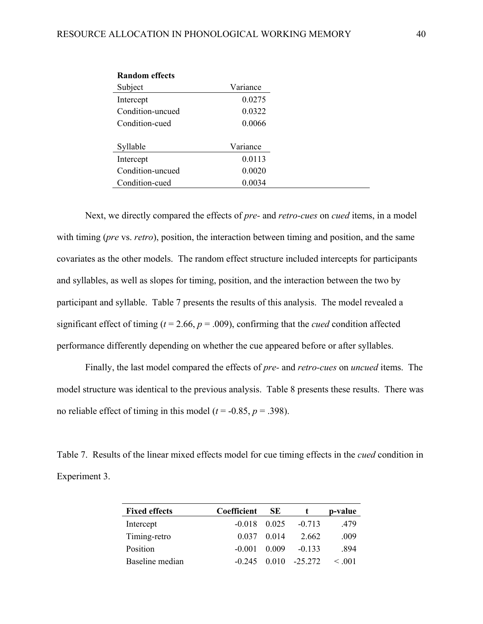| <b>Random effects</b> |          |
|-----------------------|----------|
| Subject               | Variance |
| Intercept             | 0.0275   |
| Condition-uncued      | 0.0322   |
| Condition-cued        | 0.0066   |
|                       |          |
| Syllable              | Variance |
| Intercept             | 0.0113   |
| Condition-uncued      | 0.0020   |
| Condition-cued        | 0.0034   |

Next, we directly compared the effects of *pre-* and *retro-cues* on *cued* items, in a model with timing (*pre* vs. *retro*), position, the interaction between timing and position, and the same covariates as the other models. The random effect structure included intercepts for participants and syllables, as well as slopes for timing, position, and the interaction between the two by participant and syllable. Table 7 presents the results of this analysis. The model revealed a significant effect of timing ( $t = 2.66$ ,  $p = .009$ ), confirming that the *cued* condition affected performance differently depending on whether the cue appeared before or after syllables.

Finally, the last model compared the effects of *pre-* and *retro-cues* on *uncued* items. The model structure was identical to the previous analysis. Table 8 presents these results. There was no reliable effect of timing in this model ( $t = -0.85$ ,  $p = .398$ ).

Table 7. Results of the linear mixed effects model for cue timing effects in the *cued* condition in Experiment 3.

| Coefficient | SE.   |                  | p-value         |
|-------------|-------|------------------|-----------------|
|             |       | $-0.713$         | .479            |
| 0.037       | 0.014 | 2.662            | .009            |
| $-0.001$    | 0.009 | $-0.133$         | .894            |
| $-0.245$    |       |                  | $\leq 0.01$     |
|             |       | $-0.018$ $0.025$ | $0.010 -25.272$ |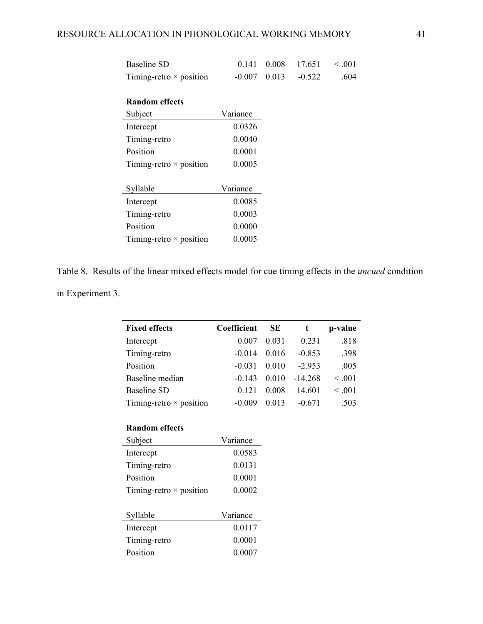| Baseline SD                    | 0.141    | 0.008 | 17.651   | < 0.001 |
|--------------------------------|----------|-------|----------|---------|
| Timing-retro $\times$ position | $-0.007$ | 0.013 | $-0.522$ | .604    |
|                                |          |       |          |         |
| <b>Random effects</b>          |          |       |          |         |
| Subject                        | Variance |       |          |         |
| Intercept                      | 0.0326   |       |          |         |
| Timing-retro                   | 0.0040   |       |          |         |
| Position                       | 0.0001   |       |          |         |
| Timing-retro $\times$ position | 0.0005   |       |          |         |
|                                |          |       |          |         |
| Syllable                       | Variance |       |          |         |
| Intercept                      | 0.0085   |       |          |         |
| Timing-retro                   | 0.0003   |       |          |         |
| Position                       | 0.0000   |       |          |         |
| Timing-retro $\times$ position | 0.0005   |       |          |         |

Table 8. Results of the linear mixed effects model for cue timing effects in the *uncued* condition

in Experiment 3.

| <b>Fixed effects</b>           | Coefficient | <b>SE</b> | t         | p-value |
|--------------------------------|-------------|-----------|-----------|---------|
| Intercept                      | 0.007       | 0.031     | 0.231     | .818    |
| Timing-retro                   | $-0.014$    | 0.016     | $-0.853$  | .398    |
| Position                       | $-0.031$    | 0.010     | $-2.953$  | .005    |
| Baseline median                | $-0.143$    | 0.010     | $-14.268$ | < 0.001 |
| Baseline SD                    | 0.121       | 0.008     | 14.601    | < 0.001 |
| Timing-retro $\times$ position | $-0.009$    | 0.013     | $-0.671$  | .503    |
|                                |             |           |           |         |
| <b>Random effects</b>          |             |           |           |         |
| Subject                        | Variance    |           |           |         |
| Intercept                      | 0.0583      |           |           |         |
| Timing-retro                   | 0.0131      |           |           |         |
| Position                       | 0.0001      |           |           |         |
| Timing-retro $\times$ position | 0.0002      |           |           |         |
| Syllable                       | Variance    |           |           |         |

| Intercept    | 0.0117 |
|--------------|--------|
| Timing-retro | 0.0001 |
| Position     | 0.0007 |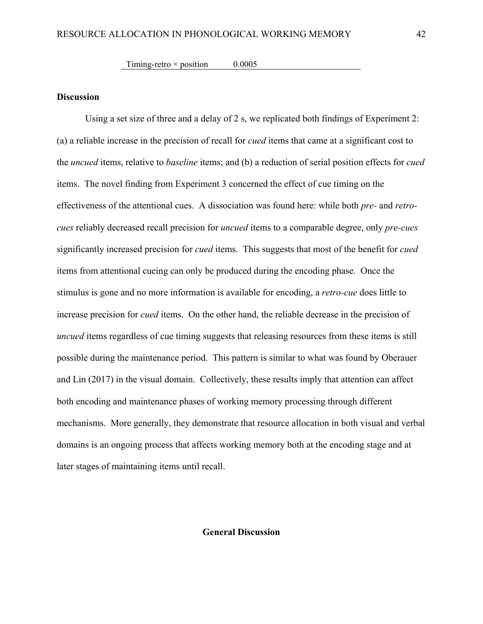Timing-retro  $\times$  position 0.0005

# **Discussion**

Using a set size of three and a delay of 2 s, we replicated both findings of Experiment 2: (a) a reliable increase in the precision of recall for *cued* items that came at a significant cost to the *uncued* items, relative to *baseline* items; and (b) a reduction of serial position effects for *cued* items. The novel finding from Experiment 3 concerned the effect of cue timing on the effectiveness of the attentional cues. A dissociation was found here: while both *pre-* and *retrocues* reliably decreased recall precision for *uncued* items to a comparable degree, only *pre-cues* significantly increased precision for *cued* items. This suggests that most of the benefit for *cued* items from attentional cueing can only be produced during the encoding phase. Once the stimulus is gone and no more information is available for encoding, a *retro-cue* does little to increase precision for *cued* items. On the other hand, the reliable decrease in the precision of *uncued* items regardless of cue timing suggests that releasing resources from these items is still possible during the maintenance period. This pattern is similar to what was found by Oberauer and Lin (2017) in the visual domain. Collectively, these results imply that attention can affect both encoding and maintenance phases of working memory processing through different mechanisms. More generally, they demonstrate that resource allocation in both visual and verbal domains is an ongoing process that affects working memory both at the encoding stage and at later stages of maintaining items until recall.

# **General Discussion**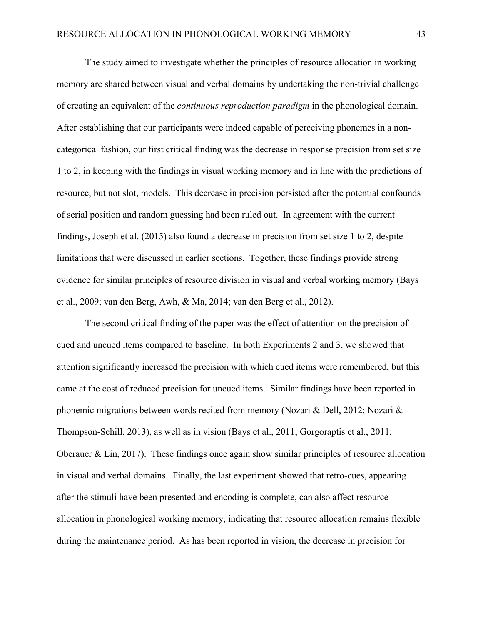The study aimed to investigate whether the principles of resource allocation in working memory are shared between visual and verbal domains by undertaking the non-trivial challenge of creating an equivalent of the *continuous reproduction paradigm* in the phonological domain. After establishing that our participants were indeed capable of perceiving phonemes in a noncategorical fashion, our first critical finding was the decrease in response precision from set size 1 to 2, in keeping with the findings in visual working memory and in line with the predictions of resource, but not slot, models. This decrease in precision persisted after the potential confounds of serial position and random guessing had been ruled out. In agreement with the current findings, Joseph et al. (2015) also found a decrease in precision from set size 1 to 2, despite limitations that were discussed in earlier sections. Together, these findings provide strong evidence for similar principles of resource division in visual and verbal working memory (Bays et al., 2009; van den Berg, Awh, & Ma, 2014; van den Berg et al., 2012).

The second critical finding of the paper was the effect of attention on the precision of cued and uncued items compared to baseline. In both Experiments 2 and 3, we showed that attention significantly increased the precision with which cued items were remembered, but this came at the cost of reduced precision for uncued items. Similar findings have been reported in phonemic migrations between words recited from memory (Nozari & Dell, 2012; Nozari & Thompson-Schill, 2013), as well as in vision (Bays et al., 2011; Gorgoraptis et al., 2011; Oberauer & Lin, 2017). These findings once again show similar principles of resource allocation in visual and verbal domains. Finally, the last experiment showed that retro-cues, appearing after the stimuli have been presented and encoding is complete, can also affect resource allocation in phonological working memory, indicating that resource allocation remains flexible during the maintenance period. As has been reported in vision, the decrease in precision for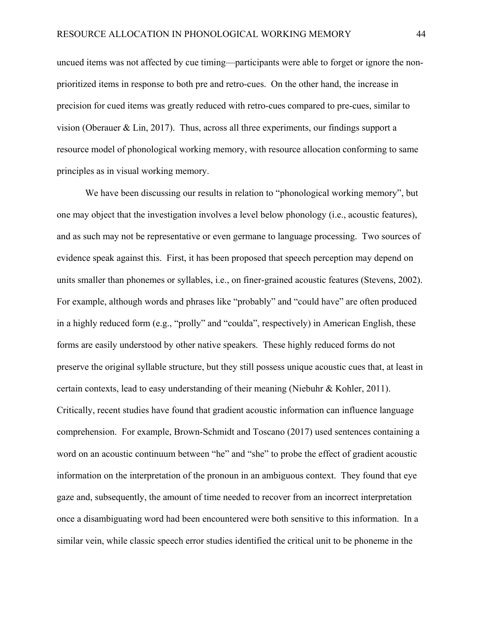uncued items was not affected by cue timing—participants were able to forget or ignore the nonprioritized items in response to both pre and retro-cues. On the other hand, the increase in precision for cued items was greatly reduced with retro-cues compared to pre-cues, similar to vision (Oberauer & Lin, 2017). Thus, across all three experiments, our findings support a resource model of phonological working memory, with resource allocation conforming to same principles as in visual working memory.

We have been discussing our results in relation to "phonological working memory", but one may object that the investigation involves a level below phonology (i.e., acoustic features), and as such may not be representative or even germane to language processing. Two sources of evidence speak against this. First, it has been proposed that speech perception may depend on units smaller than phonemes or syllables, i.e., on finer-grained acoustic features (Stevens, 2002). For example, although words and phrases like "probably" and "could have" are often produced in a highly reduced form (e.g., "prolly" and "coulda", respectively) in American English, these forms are easily understood by other native speakers. These highly reduced forms do not preserve the original syllable structure, but they still possess unique acoustic cues that, at least in certain contexts, lead to easy understanding of their meaning (Niebuhr & Kohler, 2011). Critically, recent studies have found that gradient acoustic information can influence language comprehension. For example, Brown-Schmidt and Toscano (2017) used sentences containing a word on an acoustic continuum between "he" and "she" to probe the effect of gradient acoustic information on the interpretation of the pronoun in an ambiguous context. They found that eye gaze and, subsequently, the amount of time needed to recover from an incorrect interpretation once a disambiguating word had been encountered were both sensitive to this information. In a similar vein, while classic speech error studies identified the critical unit to be phoneme in the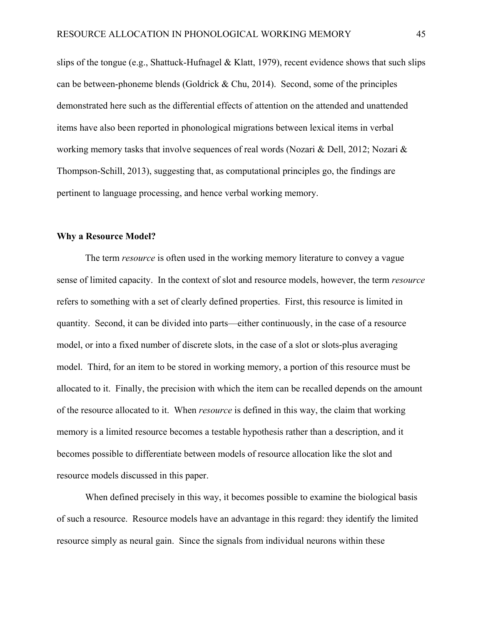slips of the tongue (e.g., Shattuck-Hufnagel & Klatt, 1979), recent evidence shows that such slips can be between-phoneme blends (Goldrick & Chu, 2014). Second, some of the principles demonstrated here such as the differential effects of attention on the attended and unattended items have also been reported in phonological migrations between lexical items in verbal working memory tasks that involve sequences of real words (Nozari & Dell, 2012; Nozari & Thompson-Schill, 2013), suggesting that, as computational principles go, the findings are pertinent to language processing, and hence verbal working memory.

# **Why a Resource Model?**

The term *resource* is often used in the working memory literature to convey a vague sense of limited capacity. In the context of slot and resource models, however, the term *resource* refers to something with a set of clearly defined properties. First, this resource is limited in quantity. Second, it can be divided into parts—either continuously, in the case of a resource model, or into a fixed number of discrete slots, in the case of a slot or slots-plus averaging model. Third, for an item to be stored in working memory, a portion of this resource must be allocated to it. Finally, the precision with which the item can be recalled depends on the amount of the resource allocated to it. When *resource* is defined in this way, the claim that working memory is a limited resource becomes a testable hypothesis rather than a description, and it becomes possible to differentiate between models of resource allocation like the slot and resource models discussed in this paper.

When defined precisely in this way, it becomes possible to examine the biological basis of such a resource. Resource models have an advantage in this regard: they identify the limited resource simply as neural gain. Since the signals from individual neurons within these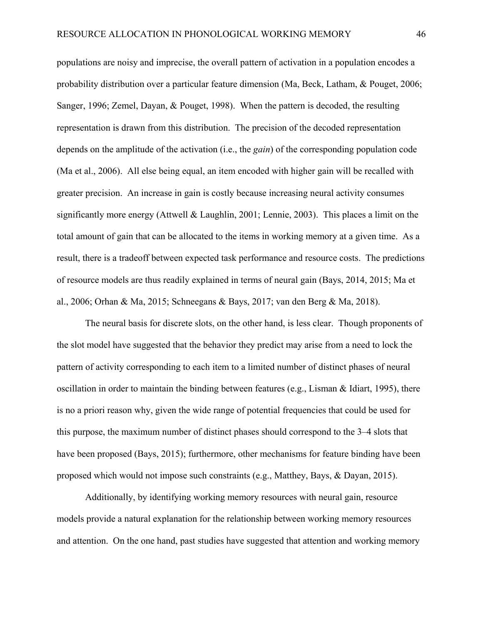populations are noisy and imprecise, the overall pattern of activation in a population encodes a probability distribution over a particular feature dimension (Ma, Beck, Latham, & Pouget, 2006; Sanger, 1996; Zemel, Dayan, & Pouget, 1998). When the pattern is decoded, the resulting representation is drawn from this distribution. The precision of the decoded representation depends on the amplitude of the activation (i.e., the *gain*) of the corresponding population code (Ma et al., 2006). All else being equal, an item encoded with higher gain will be recalled with greater precision. An increase in gain is costly because increasing neural activity consumes significantly more energy (Attwell & Laughlin, 2001; Lennie, 2003). This places a limit on the total amount of gain that can be allocated to the items in working memory at a given time. As a result, there is a tradeoff between expected task performance and resource costs. The predictions of resource models are thus readily explained in terms of neural gain (Bays, 2014, 2015; Ma et al., 2006; Orhan & Ma, 2015; Schneegans & Bays, 2017; van den Berg & Ma, 2018).

The neural basis for discrete slots, on the other hand, is less clear. Though proponents of the slot model have suggested that the behavior they predict may arise from a need to lock the pattern of activity corresponding to each item to a limited number of distinct phases of neural oscillation in order to maintain the binding between features (e.g., Lisman & Idiart, 1995), there is no a priori reason why, given the wide range of potential frequencies that could be used for this purpose, the maximum number of distinct phases should correspond to the 3–4 slots that have been proposed (Bays, 2015); furthermore, other mechanisms for feature binding have been proposed which would not impose such constraints (e.g., Matthey, Bays, & Dayan, 2015).

Additionally, by identifying working memory resources with neural gain, resource models provide a natural explanation for the relationship between working memory resources and attention. On the one hand, past studies have suggested that attention and working memory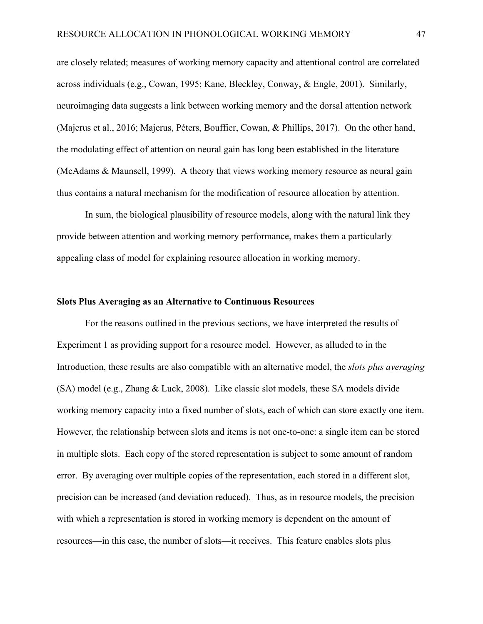are closely related; measures of working memory capacity and attentional control are correlated across individuals (e.g., Cowan, 1995; Kane, Bleckley, Conway, & Engle, 2001). Similarly, neuroimaging data suggests a link between working memory and the dorsal attention network (Majerus et al., 2016; Majerus, Péters, Bouffier, Cowan, & Phillips, 2017). On the other hand, the modulating effect of attention on neural gain has long been established in the literature (McAdams & Maunsell, 1999). A theory that views working memory resource as neural gain thus contains a natural mechanism for the modification of resource allocation by attention.

In sum, the biological plausibility of resource models, along with the natural link they provide between attention and working memory performance, makes them a particularly appealing class of model for explaining resource allocation in working memory.

# **Slots Plus Averaging as an Alternative to Continuous Resources**

For the reasons outlined in the previous sections, we have interpreted the results of Experiment 1 as providing support for a resource model. However, as alluded to in the Introduction, these results are also compatible with an alternative model, the *slots plus averaging* (SA) model (e.g., Zhang & Luck, 2008). Like classic slot models, these SA models divide working memory capacity into a fixed number of slots, each of which can store exactly one item. However, the relationship between slots and items is not one-to-one: a single item can be stored in multiple slots. Each copy of the stored representation is subject to some amount of random error. By averaging over multiple copies of the representation, each stored in a different slot, precision can be increased (and deviation reduced). Thus, as in resource models, the precision with which a representation is stored in working memory is dependent on the amount of resources—in this case, the number of slots—it receives. This feature enables slots plus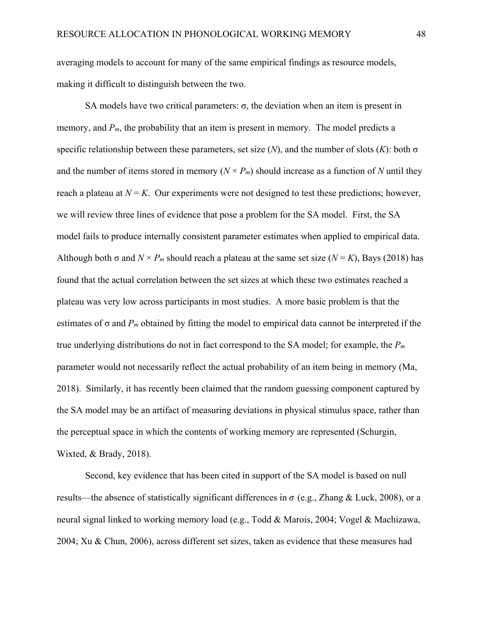averaging models to account for many of the same empirical findings as resource models, making it difficult to distinguish between the two.

SA models have two critical parameters: σ, the deviation when an item is present in memory, and  $P_m$ , the probability that an item is present in memory. The model predicts a specific relationship between these parameters, set size (*N*), and the number of slots (*K*): both σ and the number of items stored in memory ( $N \times P_m$ ) should increase as a function of N until they reach a plateau at  $N = K$ . Our experiments were not designed to test these predictions; however, we will review three lines of evidence that pose a problem for the SA model. First, the SA model fails to produce internally consistent parameter estimates when applied to empirical data. Although both  $\sigma$  and  $N \times P_m$  should reach a plateau at the same set size ( $N = K$ ), Bays (2018) has found that the actual correlation between the set sizes at which these two estimates reached a plateau was very low across participants in most studies. A more basic problem is that the estimates of  $\sigma$  and  $P_m$  obtained by fitting the model to empirical data cannot be interpreted if the true underlying distributions do not in fact correspond to the SA model; for example, the *Pm* parameter would not necessarily reflect the actual probability of an item being in memory (Ma, 2018). Similarly, it has recently been claimed that the random guessing component captured by the SA model may be an artifact of measuring deviations in physical stimulus space, rather than the perceptual space in which the contents of working memory are represented (Schurgin, Wixted, & Brady, 2018).

Second, key evidence that has been cited in support of the SA model is based on null results—the absence of statistically significant differences in  $\sigma$  (e.g., Zhang & Luck, 2008), or a neural signal linked to working memory load (e.g., Todd & Marois, 2004; Vogel & Machizawa, 2004; Xu & Chun, 2006), across different set sizes, taken as evidence that these measures had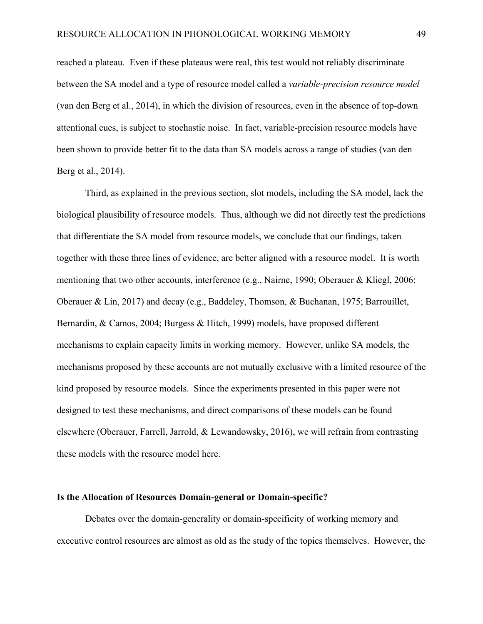reached a plateau. Even if these plateaus were real, this test would not reliably discriminate between the SA model and a type of resource model called a *variable-precision resource model* (van den Berg et al., 2014), in which the division of resources, even in the absence of top-down attentional cues, is subject to stochastic noise. In fact, variable-precision resource models have been shown to provide better fit to the data than SA models across a range of studies (van den Berg et al., 2014).

Third, as explained in the previous section, slot models, including the SA model, lack the biological plausibility of resource models. Thus, although we did not directly test the predictions that differentiate the SA model from resource models, we conclude that our findings, taken together with these three lines of evidence, are better aligned with a resource model. It is worth mentioning that two other accounts, interference (e.g., Nairne, 1990; Oberauer & Kliegl, 2006; Oberauer & Lin, 2017) and decay (e.g., Baddeley, Thomson, & Buchanan, 1975; Barrouillet, Bernardin, & Camos, 2004; Burgess & Hitch, 1999) models, have proposed different mechanisms to explain capacity limits in working memory. However, unlike SA models, the mechanisms proposed by these accounts are not mutually exclusive with a limited resource of the kind proposed by resource models. Since the experiments presented in this paper were not designed to test these mechanisms, and direct comparisons of these models can be found elsewhere (Oberauer, Farrell, Jarrold, & Lewandowsky, 2016), we will refrain from contrasting these models with the resource model here.

#### **Is the Allocation of Resources Domain-general or Domain-specific?**

Debates over the domain-generality or domain-specificity of working memory and executive control resources are almost as old as the study of the topics themselves. However, the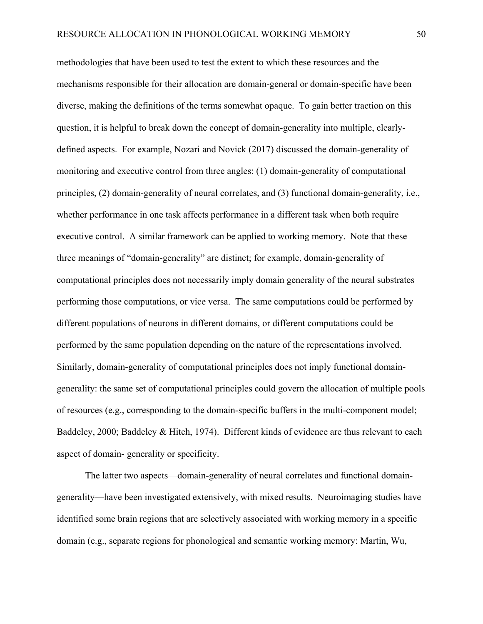methodologies that have been used to test the extent to which these resources and the mechanisms responsible for their allocation are domain-general or domain-specific have been diverse, making the definitions of the terms somewhat opaque. To gain better traction on this question, it is helpful to break down the concept of domain-generality into multiple, clearlydefined aspects. For example, Nozari and Novick (2017) discussed the domain-generality of monitoring and executive control from three angles: (1) domain-generality of computational principles, (2) domain-generality of neural correlates, and (3) functional domain-generality, i.e., whether performance in one task affects performance in a different task when both require executive control. A similar framework can be applied to working memory. Note that these three meanings of "domain-generality" are distinct; for example, domain-generality of computational principles does not necessarily imply domain generality of the neural substrates performing those computations, or vice versa. The same computations could be performed by different populations of neurons in different domains, or different computations could be performed by the same population depending on the nature of the representations involved. Similarly, domain-generality of computational principles does not imply functional domaingenerality: the same set of computational principles could govern the allocation of multiple pools of resources (e.g., corresponding to the domain-specific buffers in the multi-component model; Baddeley, 2000; Baddeley & Hitch, 1974). Different kinds of evidence are thus relevant to each aspect of domain- generality or specificity.

The latter two aspects—domain-generality of neural correlates and functional domaingenerality—have been investigated extensively, with mixed results. Neuroimaging studies have identified some brain regions that are selectively associated with working memory in a specific domain (e.g., separate regions for phonological and semantic working memory: Martin, Wu,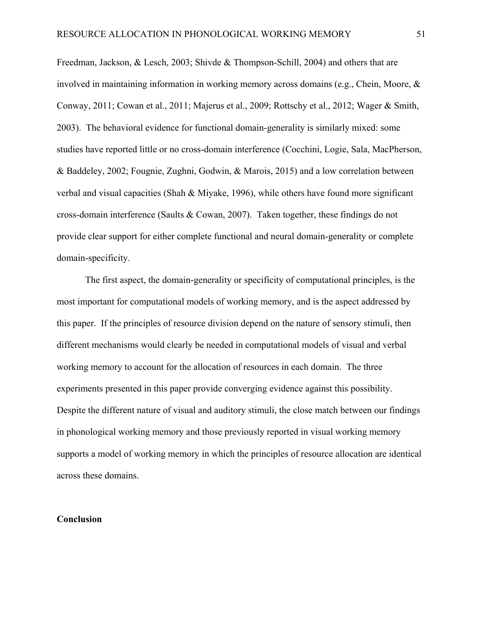Freedman, Jackson, & Lesch, 2003; Shivde & Thompson-Schill, 2004) and others that are involved in maintaining information in working memory across domains (e.g., Chein, Moore, & Conway, 2011; Cowan et al., 2011; Majerus et al., 2009; Rottschy et al., 2012; Wager & Smith, 2003). The behavioral evidence for functional domain-generality is similarly mixed: some studies have reported little or no cross-domain interference (Cocchini, Logie, Sala, MacPherson, & Baddeley, 2002; Fougnie, Zughni, Godwin, & Marois, 2015) and a low correlation between verbal and visual capacities (Shah & Miyake, 1996), while others have found more significant cross-domain interference (Saults & Cowan, 2007). Taken together, these findings do not provide clear support for either complete functional and neural domain-generality or complete domain-specificity.

The first aspect, the domain-generality or specificity of computational principles, is the most important for computational models of working memory, and is the aspect addressed by this paper. If the principles of resource division depend on the nature of sensory stimuli, then different mechanisms would clearly be needed in computational models of visual and verbal working memory to account for the allocation of resources in each domain. The three experiments presented in this paper provide converging evidence against this possibility. Despite the different nature of visual and auditory stimuli, the close match between our findings in phonological working memory and those previously reported in visual working memory supports a model of working memory in which the principles of resource allocation are identical across these domains.

# **Conclusion**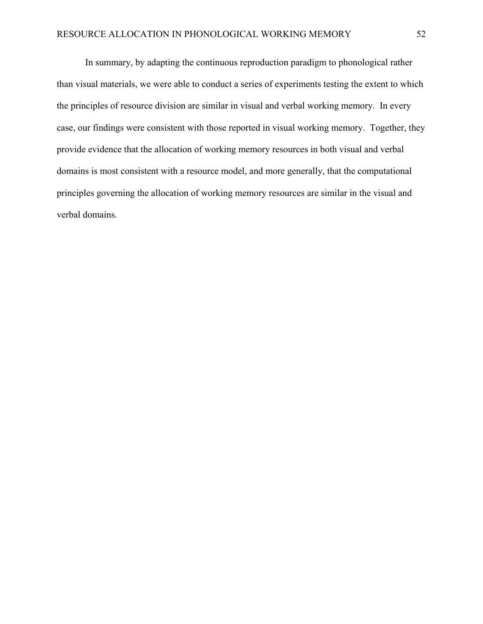In summary, by adapting the continuous reproduction paradigm to phonological rather than visual materials, we were able to conduct a series of experiments testing the extent to which the principles of resource division are similar in visual and verbal working memory. In every case, our findings were consistent with those reported in visual working memory. Together, they provide evidence that the allocation of working memory resources in both visual and verbal domains is most consistent with a resource model, and more generally, that the computational principles governing the allocation of working memory resources are similar in the visual and verbal domains.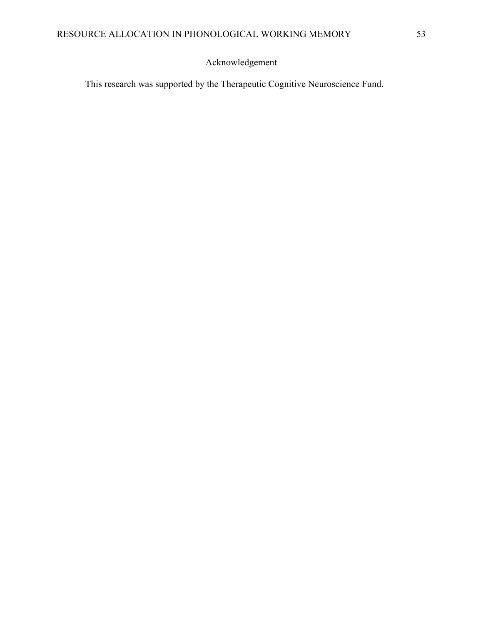# Acknowledgement

This research was supported by the Therapeutic Cognitive Neuroscience Fund.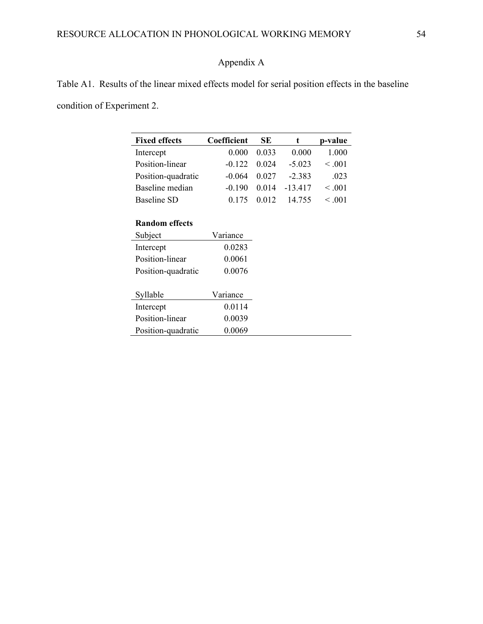# Appendix A

Table A1. Results of the linear mixed effects model for serial position effects in the baseline condition of Experiment 2.

| <b>Fixed effects</b>  | Coefficient | SЕ    | t         | p-value |
|-----------------------|-------------|-------|-----------|---------|
| Intercept             | 0.000       | 0.033 | 0.000     | 1.000   |
| Position-linear       | $-0.122$    | 0.024 | $-5.023$  | < 0.001 |
| Position-quadratic    | $-0.064$    | 0.027 | $-2.383$  | .023    |
| Baseline median       | $-0.190$    | 0.014 | $-13.417$ | < 0.01  |
| Baseline SD           | 0.175       | 0.012 | 14.755    | < 0.001 |
|                       |             |       |           |         |
| <b>Random effects</b> |             |       |           |         |
| Subject               | Variance    |       |           |         |
| Intercept             | 0.0283      |       |           |         |
| Position-linear       | 0.0061      |       |           |         |
| Position-quadratic    | 0.0076      |       |           |         |
|                       |             |       |           |         |
| Syllable              | Variance    |       |           |         |
| Intercept             | 0.0114      |       |           |         |
| Position-linear       | 0.0039      |       |           |         |
| Position-quadratic    | 0.0069      |       |           |         |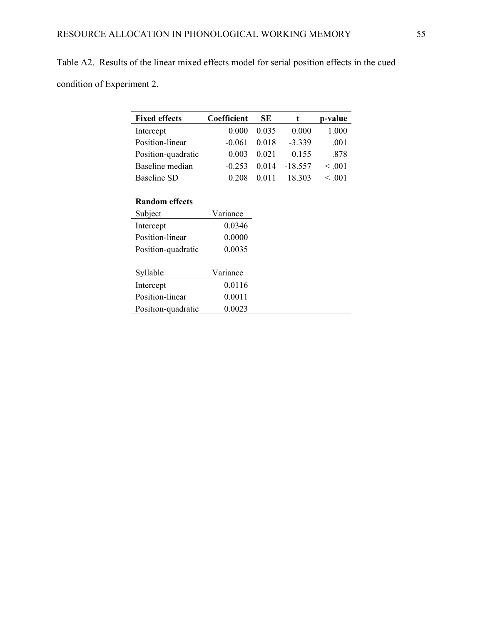| Table A2. Results of the linear mixed effects model for serial position effects in the cued |  |  |  |  |
|---------------------------------------------------------------------------------------------|--|--|--|--|
| condition of Experiment 2.                                                                  |  |  |  |  |

| <b>Fixed effects</b>  | Coefficient | <b>SE</b> | t         | p-value |
|-----------------------|-------------|-----------|-----------|---------|
| Intercept             | 0.000       | 0.035     | 0.000     | 1.000   |
| Position-linear       | $-0.061$    | 0.018     | $-3.339$  | .001    |
| Position-quadratic    | 0.003       | 0.021     | 0.155     | .878    |
| Baseline median       | $-0.253$    | 0.014     | $-18.557$ | < 0.001 |
| <b>Baseline SD</b>    | 0.208       | 0.011     | 18.303    | < 0.001 |
|                       |             |           |           |         |
| <b>Random effects</b> |             |           |           |         |
| Subject               | Variance    |           |           |         |
| Intercept             | 0.0346      |           |           |         |
| Position-linear       | 0.0000      |           |           |         |
| Position-quadratic    | 0.0035      |           |           |         |
|                       |             |           |           |         |
| Syllable              | Variance    |           |           |         |
| Intercept             | 0.0116      |           |           |         |
| Position-linear       | 0.0011      |           |           |         |
| Position-quadratic    | 0.0023      |           |           |         |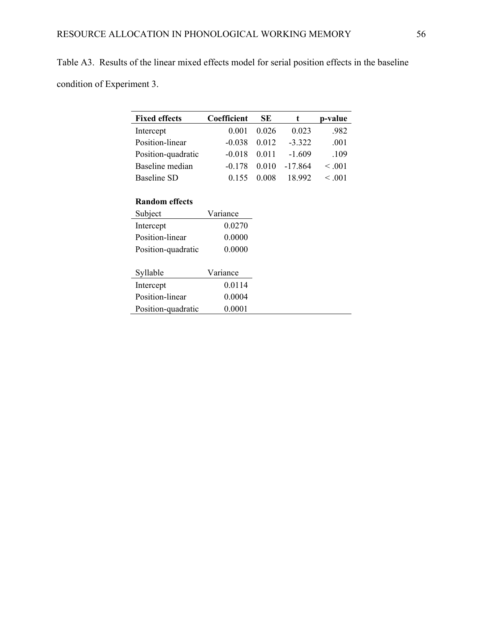| Table A3. Results of the linear mixed effects model for serial position effects in the baseline |
|-------------------------------------------------------------------------------------------------|
| condition of Experiment 3.                                                                      |

| <b>Fixed effects</b> | Coefficient | SE    | t         | p-value |
|----------------------|-------------|-------|-----------|---------|
| Intercept            | 0.001       | 0.026 | 0.023     | .982    |
| Position-linear      | $-0.038$    | 0.012 | $-3.322$  | .001    |
| Position-quadratic   | $-0.018$    | 0.011 | $-1.609$  | .109    |
| Baseline median      | $-0.178$    | 0.010 | $-17.864$ | < 0.001 |
| <b>Baseline SD</b>   | 0.155       | 0.008 | 18.992    | < 0.001 |
|                      |             |       |           |         |
| Random effects       |             |       |           |         |
| Subject              | Variance    |       |           |         |
| Intercept            | 0.0270      |       |           |         |
| Position-linear      | 0.0000      |       |           |         |
| Position-quadratic   | 0.0000      |       |           |         |
|                      |             |       |           |         |
| Syllable             | Variance    |       |           |         |
| Intercept            | 0.0114      |       |           |         |
| Position-linear      | 0.0004      |       |           |         |
| Position-quadratic   | 0.0001      |       |           |         |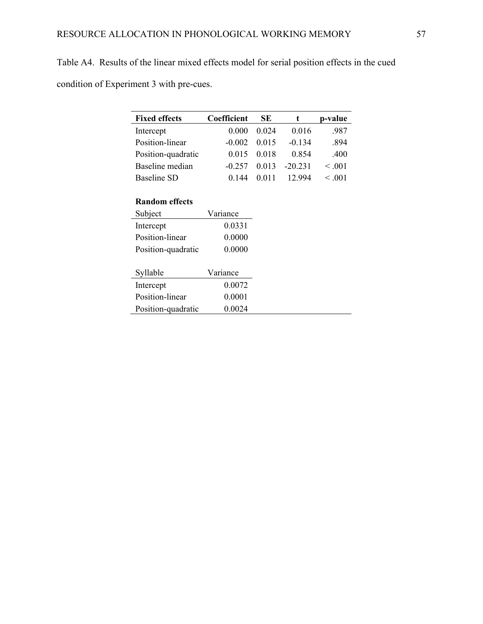| Table A4. Results of the linear mixed effects model for serial position effects in the cued |  |  |  |  |  |  |  |
|---------------------------------------------------------------------------------------------|--|--|--|--|--|--|--|
| condition of Experiment 3 with pre-cues.                                                    |  |  |  |  |  |  |  |

| <b>Fixed effects</b>  | Coefficient | SЕ    | t         | p-value |
|-----------------------|-------------|-------|-----------|---------|
| Intercept             | 0.000       | 0.024 | 0.016     | .987    |
| Position-linear       | $-0.002$    | 0.015 | $-0.134$  | .894    |
| Position-quadratic    | 0.015       | 0.018 | 0.854     | .400    |
| Baseline median       | $-0.257$    | 0.013 | $-20.231$ | < 0.01  |
| <b>Baseline SD</b>    | 0.144       | 0.011 | 12.994    | < 0.001 |
|                       |             |       |           |         |
| <b>Random effects</b> |             |       |           |         |
| Subject               | Variance    |       |           |         |
| Intercept             | 0.0331      |       |           |         |
| Position-linear       | 0.0000      |       |           |         |
| Position-quadratic    | 0.0000      |       |           |         |
|                       |             |       |           |         |
| Syllable              | Variance    |       |           |         |
| Intercept             | 0.0072      |       |           |         |
| Position-linear       | 0.0001      |       |           |         |
| Position-quadratic    | 0.0024      |       |           |         |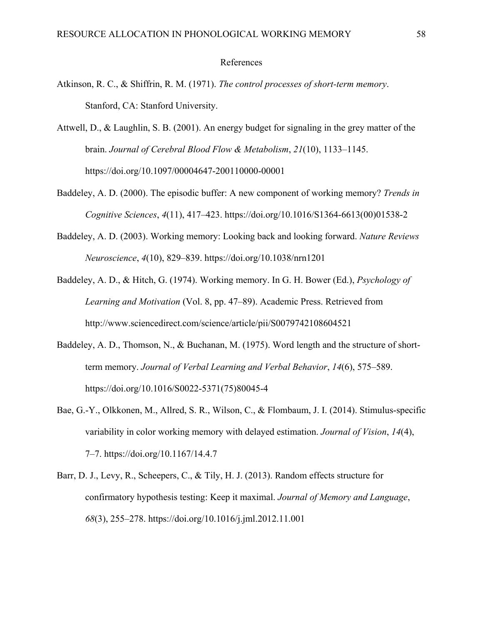## References

- Atkinson, R. C., & Shiffrin, R. M. (1971). *The control processes of short-term memory*. Stanford, CA: Stanford University.
- Attwell, D., & Laughlin, S. B. (2001). An energy budget for signaling in the grey matter of the brain. *Journal of Cerebral Blood Flow & Metabolism*, *21*(10), 1133–1145. https://doi.org/10.1097/00004647-200110000-00001
- Baddeley, A. D. (2000). The episodic buffer: A new component of working memory? *Trends in Cognitive Sciences*, *4*(11), 417–423. https://doi.org/10.1016/S1364-6613(00)01538-2
- Baddeley, A. D. (2003). Working memory: Looking back and looking forward. *Nature Reviews Neuroscience*, *4*(10), 829–839. https://doi.org/10.1038/nrn1201
- Baddeley, A. D., & Hitch, G. (1974). Working memory. In G. H. Bower (Ed.), *Psychology of Learning and Motivation* (Vol. 8, pp. 47–89). Academic Press. Retrieved from http://www.sciencedirect.com/science/article/pii/S0079742108604521
- Baddeley, A. D., Thomson, N., & Buchanan, M. (1975). Word length and the structure of shortterm memory. *Journal of Verbal Learning and Verbal Behavior*, *14*(6), 575–589. https://doi.org/10.1016/S0022-5371(75)80045-4
- Bae, G.-Y., Olkkonen, M., Allred, S. R., Wilson, C., & Flombaum, J. I. (2014). Stimulus-specific variability in color working memory with delayed estimation. *Journal of Vision*, *14*(4), 7–7. https://doi.org/10.1167/14.4.7
- Barr, D. J., Levy, R., Scheepers, C., & Tily, H. J. (2013). Random effects structure for confirmatory hypothesis testing: Keep it maximal. *Journal of Memory and Language*, *68*(3), 255–278. https://doi.org/10.1016/j.jml.2012.11.001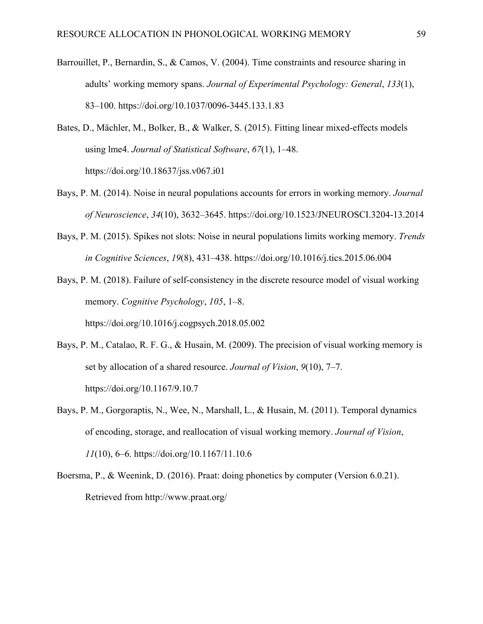- Barrouillet, P., Bernardin, S., & Camos, V. (2004). Time constraints and resource sharing in adults' working memory spans. *Journal of Experimental Psychology: General*, *133*(1), 83–100. https://doi.org/10.1037/0096-3445.133.1.83
- Bates, D., Mächler, M., Bolker, B., & Walker, S. (2015). Fitting linear mixed-effects models using lme4. *Journal of Statistical Software*, *67*(1), 1–48. https://doi.org/10.18637/jss.v067.i01
- Bays, P. M. (2014). Noise in neural populations accounts for errors in working memory. *Journal of Neuroscience*, *34*(10), 3632–3645. https://doi.org/10.1523/JNEUROSCI.3204-13.2014
- Bays, P. M. (2015). Spikes not slots: Noise in neural populations limits working memory. *Trends in Cognitive Sciences*, *19*(8), 431–438. https://doi.org/10.1016/j.tics.2015.06.004

Bays, P. M. (2018). Failure of self-consistency in the discrete resource model of visual working memory. *Cognitive Psychology*, *105*, 1–8. https://doi.org/10.1016/j.cogpsych.2018.05.002

- Bays, P. M., Catalao, R. F. G., & Husain, M. (2009). The precision of visual working memory is set by allocation of a shared resource. *Journal of Vision*, *9*(10), 7–7. https://doi.org/10.1167/9.10.7
- Bays, P. M., Gorgoraptis, N., Wee, N., Marshall, L., & Husain, M. (2011). Temporal dynamics of encoding, storage, and reallocation of visual working memory. *Journal of Vision*, *11*(10), 6–6. https://doi.org/10.1167/11.10.6
- Boersma, P., & Weenink, D. (2016). Praat: doing phonetics by computer (Version 6.0.21). Retrieved from http://www.praat.org/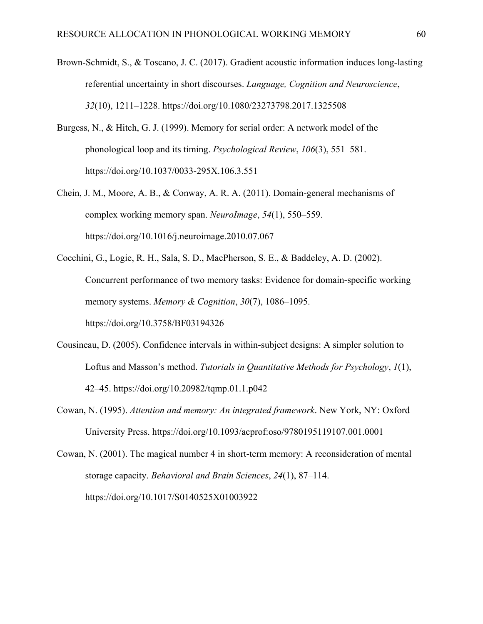- Brown-Schmidt, S., & Toscano, J. C. (2017). Gradient acoustic information induces long-lasting referential uncertainty in short discourses. *Language, Cognition and Neuroscience*, *32*(10), 1211–1228. https://doi.org/10.1080/23273798.2017.1325508
- Burgess, N., & Hitch, G. J. (1999). Memory for serial order: A network model of the phonological loop and its timing. *Psychological Review*, *106*(3), 551–581. https://doi.org/10.1037/0033-295X.106.3.551
- Chein, J. M., Moore, A. B., & Conway, A. R. A. (2011). Domain-general mechanisms of complex working memory span. *NeuroImage*, *54*(1), 550–559. https://doi.org/10.1016/j.neuroimage.2010.07.067
- Cocchini, G., Logie, R. H., Sala, S. D., MacPherson, S. E., & Baddeley, A. D. (2002). Concurrent performance of two memory tasks: Evidence for domain-specific working memory systems. *Memory & Cognition*, *30*(7), 1086–1095. https://doi.org/10.3758/BF03194326
- Cousineau, D. (2005). Confidence intervals in within-subject designs: A simpler solution to Loftus and Masson's method. *Tutorials in Quantitative Methods for Psychology*, *1*(1), 42–45. https://doi.org/10.20982/tqmp.01.1.p042
- Cowan, N. (1995). *Attention and memory: An integrated framework*. New York, NY: Oxford University Press. https://doi.org/10.1093/acprof:oso/9780195119107.001.0001

Cowan, N. (2001). The magical number 4 in short-term memory: A reconsideration of mental storage capacity. *Behavioral and Brain Sciences*, *24*(1), 87–114. https://doi.org/10.1017/S0140525X01003922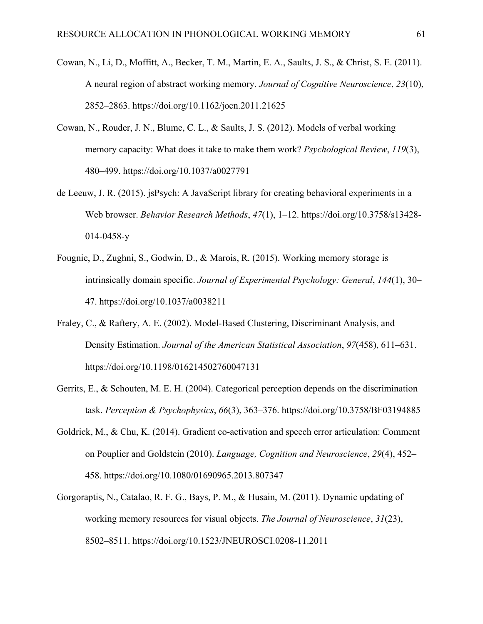- Cowan, N., Li, D., Moffitt, A., Becker, T. M., Martin, E. A., Saults, J. S., & Christ, S. E. (2011). A neural region of abstract working memory. *Journal of Cognitive Neuroscience*, *23*(10), 2852–2863. https://doi.org/10.1162/jocn.2011.21625
- Cowan, N., Rouder, J. N., Blume, C. L., & Saults, J. S. (2012). Models of verbal working memory capacity: What does it take to make them work? *Psychological Review*, *119*(3), 480–499. https://doi.org/10.1037/a0027791
- de Leeuw, J. R. (2015). jsPsych: A JavaScript library for creating behavioral experiments in a Web browser. *Behavior Research Methods*, *47*(1), 1–12. https://doi.org/10.3758/s13428- 014-0458-y
- Fougnie, D., Zughni, S., Godwin, D., & Marois, R. (2015). Working memory storage is intrinsically domain specific. *Journal of Experimental Psychology: General*, *144*(1), 30– 47. https://doi.org/10.1037/a0038211
- Fraley, C., & Raftery, A. E. (2002). Model-Based Clustering, Discriminant Analysis, and Density Estimation. *Journal of the American Statistical Association*, *97*(458), 611–631. https://doi.org/10.1198/016214502760047131
- Gerrits, E., & Schouten, M. E. H. (2004). Categorical perception depends on the discrimination task. *Perception & Psychophysics*, *66*(3), 363–376. https://doi.org/10.3758/BF03194885
- Goldrick, M., & Chu, K. (2014). Gradient co-activation and speech error articulation: Comment on Pouplier and Goldstein (2010). *Language, Cognition and Neuroscience*, *29*(4), 452– 458. https://doi.org/10.1080/01690965.2013.807347
- Gorgoraptis, N., Catalao, R. F. G., Bays, P. M., & Husain, M. (2011). Dynamic updating of working memory resources for visual objects. *The Journal of Neuroscience*, *31*(23), 8502–8511. https://doi.org/10.1523/JNEUROSCI.0208-11.2011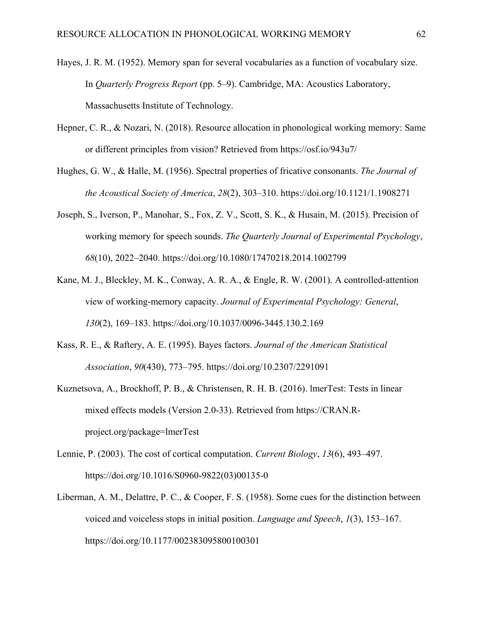- Hayes, J. R. M. (1952). Memory span for several vocabularies as a function of vocabulary size. In *Quarterly Progress Report* (pp. 5–9). Cambridge, MA: Acoustics Laboratory, Massachusetts Institute of Technology.
- Hepner, C. R., & Nozari, N. (2018). Resource allocation in phonological working memory: Same or different principles from vision? Retrieved from https://osf.io/943u7/
- Hughes, G. W., & Halle, M. (1956). Spectral properties of fricative consonants. *The Journal of the Acoustical Society of America*, *28*(2), 303–310. https://doi.org/10.1121/1.1908271
- Joseph, S., Iverson, P., Manohar, S., Fox, Z. V., Scott, S. K., & Husain, M. (2015). Precision of working memory for speech sounds. *The Quarterly Journal of Experimental Psychology*, *68*(10), 2022–2040. https://doi.org/10.1080/17470218.2014.1002799
- Kane, M. J., Bleckley, M. K., Conway, A. R. A., & Engle, R. W. (2001). A controlled-attention view of working-memory capacity. *Journal of Experimental Psychology: General*, *130*(2), 169–183. https://doi.org/10.1037/0096-3445.130.2.169
- Kass, R. E., & Raftery, A. E. (1995). Bayes factors. *Journal of the American Statistical Association*, *90*(430), 773–795. https://doi.org/10.2307/2291091
- Kuznetsova, A., Brockhoff, P. B., & Christensen, R. H. B. (2016). lmerTest: Tests in linear mixed effects models (Version 2.0-33). Retrieved from https://CRAN.Rproject.org/package=lmerTest
- Lennie, P. (2003). The cost of cortical computation. *Current Biology*, *13*(6), 493–497. https://doi.org/10.1016/S0960-9822(03)00135-0
- Liberman, A. M., Delattre, P. C., & Cooper, F. S. (1958). Some cues for the distinction between voiced and voiceless stops in initial position. *Language and Speech*, *1*(3), 153–167. https://doi.org/10.1177/002383095800100301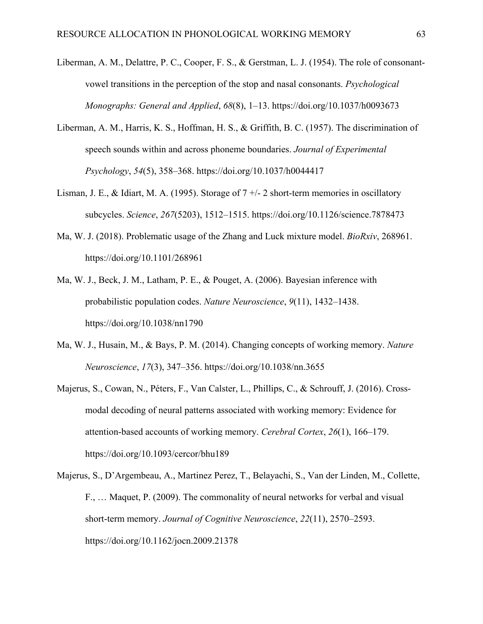- Liberman, A. M., Delattre, P. C., Cooper, F. S., & Gerstman, L. J. (1954). The role of consonantvowel transitions in the perception of the stop and nasal consonants. *Psychological Monographs: General and Applied*, *68*(8), 1–13. https://doi.org/10.1037/h0093673
- Liberman, A. M., Harris, K. S., Hoffman, H. S., & Griffith, B. C. (1957). The discrimination of speech sounds within and across phoneme boundaries. *Journal of Experimental Psychology*, *54*(5), 358–368. https://doi.org/10.1037/h0044417
- Lisman, J. E., & Idiart, M. A. (1995). Storage of  $7 + / -2$  short-term memories in oscillatory subcycles. *Science*, *267*(5203), 1512–1515. https://doi.org/10.1126/science.7878473
- Ma, W. J. (2018). Problematic usage of the Zhang and Luck mixture model. *BioRxiv*, 268961. https://doi.org/10.1101/268961
- Ma, W. J., Beck, J. M., Latham, P. E., & Pouget, A. (2006). Bayesian inference with probabilistic population codes. *Nature Neuroscience*, *9*(11), 1432–1438. https://doi.org/10.1038/nn1790
- Ma, W. J., Husain, M., & Bays, P. M. (2014). Changing concepts of working memory. *Nature Neuroscience*, *17*(3), 347–356. https://doi.org/10.1038/nn.3655
- Majerus, S., Cowan, N., Péters, F., Van Calster, L., Phillips, C., & Schrouff, J. (2016). Crossmodal decoding of neural patterns associated with working memory: Evidence for attention-based accounts of working memory. *Cerebral Cortex*, *26*(1), 166–179. https://doi.org/10.1093/cercor/bhu189
- Majerus, S., D'Argembeau, A., Martinez Perez, T., Belayachi, S., Van der Linden, M., Collette, F., … Maquet, P. (2009). The commonality of neural networks for verbal and visual short-term memory. *Journal of Cognitive Neuroscience*, *22*(11), 2570–2593. https://doi.org/10.1162/jocn.2009.21378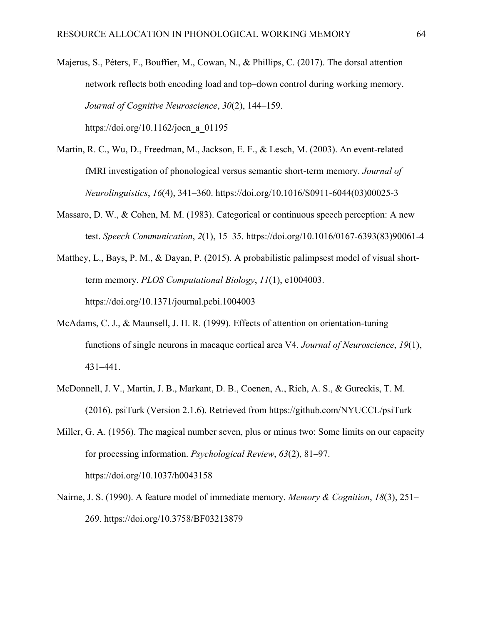Majerus, S., Péters, F., Bouffier, M., Cowan, N., & Phillips, C. (2017). The dorsal attention network reflects both encoding load and top–down control during working memory. *Journal of Cognitive Neuroscience*, *30*(2), 144–159.

https://doi.org/10.1162/jocn\_a\_01195

- Martin, R. C., Wu, D., Freedman, M., Jackson, E. F., & Lesch, M. (2003). An event-related fMRI investigation of phonological versus semantic short-term memory. *Journal of Neurolinguistics*, *16*(4), 341–360. https://doi.org/10.1016/S0911-6044(03)00025-3
- Massaro, D. W., & Cohen, M. M. (1983). Categorical or continuous speech perception: A new test. *Speech Communication*, *2*(1), 15–35. https://doi.org/10.1016/0167-6393(83)90061-4
- Matthey, L., Bays, P. M., & Dayan, P. (2015). A probabilistic palimpsest model of visual shortterm memory. *PLOS Computational Biology*, *11*(1), e1004003. https://doi.org/10.1371/journal.pcbi.1004003
- McAdams, C. J., & Maunsell, J. H. R. (1999). Effects of attention on orientation-tuning functions of single neurons in macaque cortical area V4. *Journal of Neuroscience*, *19*(1), 431–441.
- McDonnell, J. V., Martin, J. B., Markant, D. B., Coenen, A., Rich, A. S., & Gureckis, T. M. (2016). psiTurk (Version 2.1.6). Retrieved from https://github.com/NYUCCL/psiTurk
- Miller, G. A. (1956). The magical number seven, plus or minus two: Some limits on our capacity for processing information. *Psychological Review*, *63*(2), 81–97. https://doi.org/10.1037/h0043158
- Nairne, J. S. (1990). A feature model of immediate memory. *Memory & Cognition*, *18*(3), 251– 269. https://doi.org/10.3758/BF03213879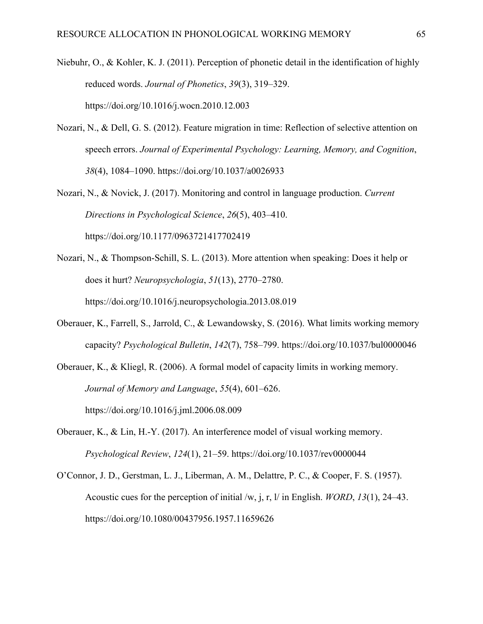- Niebuhr, O., & Kohler, K. J. (2011). Perception of phonetic detail in the identification of highly reduced words. *Journal of Phonetics*, *39*(3), 319–329. https://doi.org/10.1016/j.wocn.2010.12.003
- Nozari, N., & Dell, G. S. (2012). Feature migration in time: Reflection of selective attention on speech errors. *Journal of Experimental Psychology: Learning, Memory, and Cognition*, *38*(4), 1084–1090. https://doi.org/10.1037/a0026933
- Nozari, N., & Novick, J. (2017). Monitoring and control in language production. *Current Directions in Psychological Science*, *26*(5), 403–410. https://doi.org/10.1177/0963721417702419
- Nozari, N., & Thompson-Schill, S. L. (2013). More attention when speaking: Does it help or does it hurt? *Neuropsychologia*, *51*(13), 2770–2780. https://doi.org/10.1016/j.neuropsychologia.2013.08.019
- Oberauer, K., Farrell, S., Jarrold, C., & Lewandowsky, S. (2016). What limits working memory capacity? *Psychological Bulletin*, *142*(7), 758–799. https://doi.org/10.1037/bul0000046
- Oberauer, K., & Kliegl, R. (2006). A formal model of capacity limits in working memory. *Journal of Memory and Language*, *55*(4), 601–626. https://doi.org/10.1016/j.jml.2006.08.009
- Oberauer, K., & Lin, H.-Y. (2017). An interference model of visual working memory. *Psychological Review*, *124*(1), 21–59. https://doi.org/10.1037/rev0000044
- O'Connor, J. D., Gerstman, L. J., Liberman, A. M., Delattre, P. C., & Cooper, F. S. (1957). Acoustic cues for the perception of initial /w, j, r, l/ in English. *WORD*, *13*(1), 24–43. https://doi.org/10.1080/00437956.1957.11659626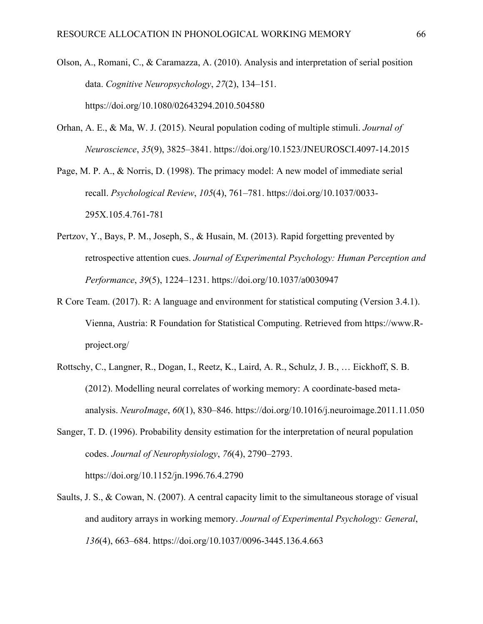- Olson, A., Romani, C., & Caramazza, A. (2010). Analysis and interpretation of serial position data. *Cognitive Neuropsychology*, *27*(2), 134–151. https://doi.org/10.1080/02643294.2010.504580
- Orhan, A. E., & Ma, W. J. (2015). Neural population coding of multiple stimuli. *Journal of Neuroscience*, *35*(9), 3825–3841. https://doi.org/10.1523/JNEUROSCI.4097-14.2015

Page, M. P. A., & Norris, D. (1998). The primacy model: A new model of immediate serial recall. *Psychological Review*, *105*(4), 761–781. https://doi.org/10.1037/0033- 295X.105.4.761-781

- Pertzov, Y., Bays, P. M., Joseph, S., & Husain, M. (2013). Rapid forgetting prevented by retrospective attention cues. *Journal of Experimental Psychology: Human Perception and Performance*, *39*(5), 1224–1231. https://doi.org/10.1037/a0030947
- R Core Team. (2017). R: A language and environment for statistical computing (Version 3.4.1). Vienna, Austria: R Foundation for Statistical Computing. Retrieved from https://www.Rproject.org/
- Rottschy, C., Langner, R., Dogan, I., Reetz, K., Laird, A. R., Schulz, J. B., … Eickhoff, S. B. (2012). Modelling neural correlates of working memory: A coordinate-based metaanalysis. *NeuroImage*, *60*(1), 830–846. https://doi.org/10.1016/j.neuroimage.2011.11.050
- Sanger, T. D. (1996). Probability density estimation for the interpretation of neural population codes. *Journal of Neurophysiology*, *76*(4), 2790–2793. https://doi.org/10.1152/jn.1996.76.4.2790
- Saults, J. S., & Cowan, N. (2007). A central capacity limit to the simultaneous storage of visual and auditory arrays in working memory. *Journal of Experimental Psychology: General*, *136*(4), 663–684. https://doi.org/10.1037/0096-3445.136.4.663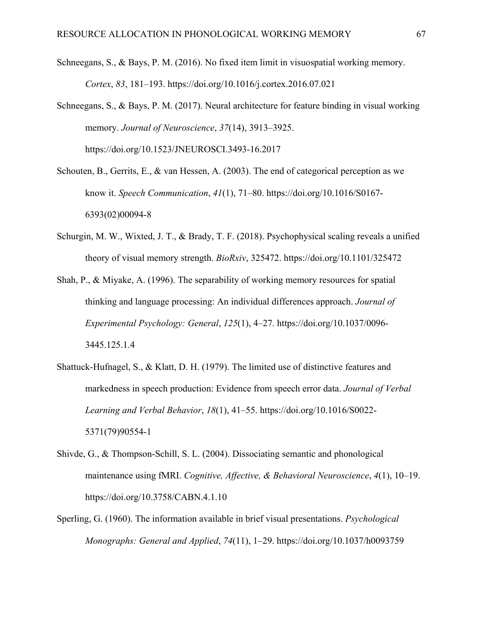- Schneegans, S., & Bays, P. M. (2016). No fixed item limit in visuospatial working memory. *Cortex*, *83*, 181–193. https://doi.org/10.1016/j.cortex.2016.07.021
- Schneegans, S., & Bays, P. M. (2017). Neural architecture for feature binding in visual working memory. *Journal of Neuroscience*, *37*(14), 3913–3925. https://doi.org/10.1523/JNEUROSCI.3493-16.2017
- Schouten, B., Gerrits, E., & van Hessen, A. (2003). The end of categorical perception as we know it. *Speech Communication*, *41*(1), 71–80. https://doi.org/10.1016/S0167- 6393(02)00094-8
- Schurgin, M. W., Wixted, J. T., & Brady, T. F. (2018). Psychophysical scaling reveals a unified theory of visual memory strength. *BioRxiv*, 325472. https://doi.org/10.1101/325472
- Shah, P., & Miyake, A. (1996). The separability of working memory resources for spatial thinking and language processing: An individual differences approach. *Journal of Experimental Psychology: General*, *125*(1), 4–27. https://doi.org/10.1037/0096- 3445.125.1.4
- Shattuck-Hufnagel, S., & Klatt, D. H. (1979). The limited use of distinctive features and markedness in speech production: Evidence from speech error data. *Journal of Verbal Learning and Verbal Behavior*, *18*(1), 41–55. https://doi.org/10.1016/S0022- 5371(79)90554-1
- Shivde, G., & Thompson-Schill, S. L. (2004). Dissociating semantic and phonological maintenance using fMRI. *Cognitive, Affective, & Behavioral Neuroscience*, *4*(1), 10–19. https://doi.org/10.3758/CABN.4.1.10
- Sperling, G. (1960). The information available in brief visual presentations. *Psychological Monographs: General and Applied*, *74*(11), 1–29. https://doi.org/10.1037/h0093759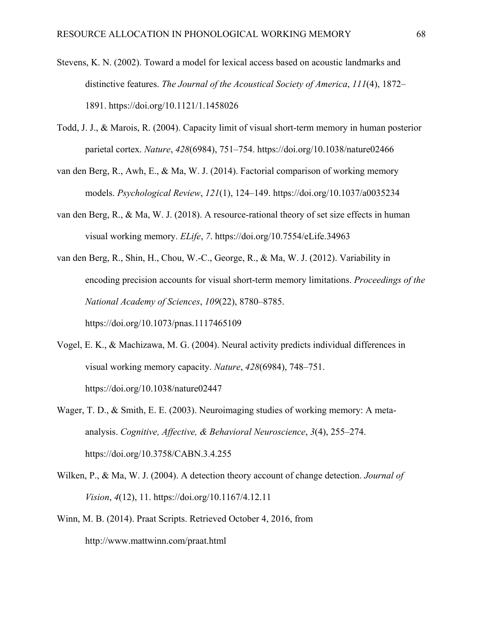- Stevens, K. N. (2002). Toward a model for lexical access based on acoustic landmarks and distinctive features. *The Journal of the Acoustical Society of America*, *111*(4), 1872– 1891. https://doi.org/10.1121/1.1458026
- Todd, J. J., & Marois, R. (2004). Capacity limit of visual short-term memory in human posterior parietal cortex. *Nature*, *428*(6984), 751–754. https://doi.org/10.1038/nature02466
- van den Berg, R., Awh, E., & Ma, W. J. (2014). Factorial comparison of working memory models. *Psychological Review*, *121*(1), 124–149. https://doi.org/10.1037/a0035234
- van den Berg, R., & Ma, W. J. (2018). A resource-rational theory of set size effects in human visual working memory. *ELife*, *7*. https://doi.org/10.7554/eLife.34963
- van den Berg, R., Shin, H., Chou, W.-C., George, R., & Ma, W. J. (2012). Variability in encoding precision accounts for visual short-term memory limitations. *Proceedings of the National Academy of Sciences*, *109*(22), 8780–8785.

https://doi.org/10.1073/pnas.1117465109

- Vogel, E. K., & Machizawa, M. G. (2004). Neural activity predicts individual differences in visual working memory capacity. *Nature*, *428*(6984), 748–751. https://doi.org/10.1038/nature02447
- Wager, T. D., & Smith, E. E. (2003). Neuroimaging studies of working memory: A metaanalysis. *Cognitive, Affective, & Behavioral Neuroscience*, *3*(4), 255–274. https://doi.org/10.3758/CABN.3.4.255
- Wilken, P., & Ma, W. J. (2004). A detection theory account of change detection. *Journal of Vision*, *4*(12), 11. https://doi.org/10.1167/4.12.11
- Winn, M. B. (2014). Praat Scripts. Retrieved October 4, 2016, from http://www.mattwinn.com/praat.html